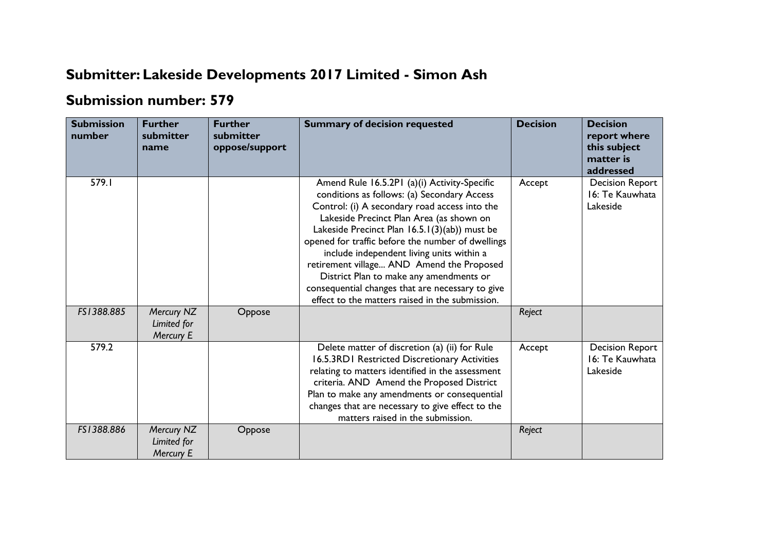## **Submitter: Lakeside Developments 2017 Limited - Simon Ash**

## **Submission number: 579**

| <b>Submission</b><br>number | <b>Further</b><br>submitter<br>name    | <b>Further</b><br>submitter<br>oppose/support | <b>Summary of decision requested</b>                                                                                                                                                                                                                                                                                                                                                                                                                                                                                                       | <b>Decision</b> | <b>Decision</b><br>report where<br>this subject<br>matter is<br>addressed |
|-----------------------------|----------------------------------------|-----------------------------------------------|--------------------------------------------------------------------------------------------------------------------------------------------------------------------------------------------------------------------------------------------------------------------------------------------------------------------------------------------------------------------------------------------------------------------------------------------------------------------------------------------------------------------------------------------|-----------------|---------------------------------------------------------------------------|
| 579.I                       |                                        |                                               | Amend Rule 16.5.2P1 (a)(i) Activity-Specific<br>conditions as follows: (a) Secondary Access<br>Control: (i) A secondary road access into the<br>Lakeside Precinct Plan Area (as shown on<br>Lakeside Precinct Plan 16.5.1(3)(ab)) must be<br>opened for traffic before the number of dwellings<br>include independent living units within a<br>retirement village AND Amend the Proposed<br>District Plan to make any amendments or<br>consequential changes that are necessary to give<br>effect to the matters raised in the submission. | Accept          | <b>Decision Report</b><br>16: Te Kauwhata<br>Lakeside                     |
| FS1388.885                  | Mercury NZ<br>Limited for<br>Mercury E | Oppose                                        |                                                                                                                                                                                                                                                                                                                                                                                                                                                                                                                                            | Reject          |                                                                           |
| 579.2                       |                                        |                                               | Delete matter of discretion (a) (ii) for Rule<br>16.5.3RD1 Restricted Discretionary Activities<br>relating to matters identified in the assessment<br>criteria. AND Amend the Proposed District<br>Plan to make any amendments or consequential<br>changes that are necessary to give effect to the<br>matters raised in the submission.                                                                                                                                                                                                   | Accept          | <b>Decision Report</b><br>16: Te Kauwhata<br>Lakeside                     |
| FS1388.886                  | Mercury NZ<br>Limited for<br>Mercury E | Oppose                                        |                                                                                                                                                                                                                                                                                                                                                                                                                                                                                                                                            | Reject          |                                                                           |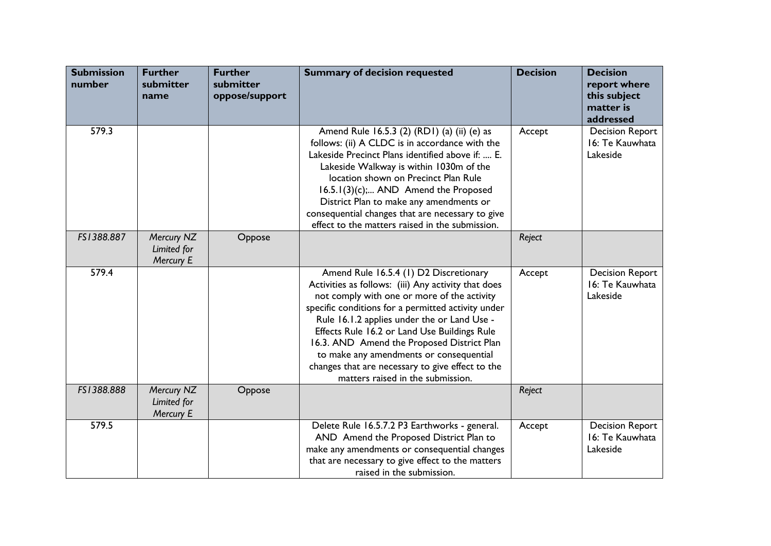| <b>Submission</b><br>number | <b>Further</b><br>submitter<br>name    | <b>Further</b><br>submitter<br>oppose/support | <b>Summary of decision requested</b>                                                                                                                                                                                                                                                                                                                                                                                                                                                | <b>Decision</b> | <b>Decision</b><br>report where<br>this subject<br>matter is<br>addressed |
|-----------------------------|----------------------------------------|-----------------------------------------------|-------------------------------------------------------------------------------------------------------------------------------------------------------------------------------------------------------------------------------------------------------------------------------------------------------------------------------------------------------------------------------------------------------------------------------------------------------------------------------------|-----------------|---------------------------------------------------------------------------|
| 579.3                       |                                        |                                               | Amend Rule 16.5.3 (2) (RD1) (a) (ii) (e) as<br>follows: (ii) A CLDC is in accordance with the<br>Lakeside Precinct Plans identified above if:  E.<br>Lakeside Walkway is within 1030m of the<br>location shown on Precinct Plan Rule<br>16.5.1(3)(c); AND Amend the Proposed<br>District Plan to make any amendments or<br>consequential changes that are necessary to give<br>effect to the matters raised in the submission.                                                      | Accept          | <b>Decision Report</b><br>16: Te Kauwhata<br>Lakeside                     |
| FS1388.887                  | Mercury NZ<br>Limited for<br>Mercury E | Oppose                                        |                                                                                                                                                                                                                                                                                                                                                                                                                                                                                     | Reject          |                                                                           |
| 579.4                       |                                        |                                               | Amend Rule 16.5.4 (1) D2 Discretionary<br>Activities as follows: (iii) Any activity that does<br>not comply with one or more of the activity<br>specific conditions for a permitted activity under<br>Rule 16.1.2 applies under the or Land Use -<br>Effects Rule 16.2 or Land Use Buildings Rule<br>16.3. AND Amend the Proposed District Plan<br>to make any amendments or consequential<br>changes that are necessary to give effect to the<br>matters raised in the submission. | Accept          | <b>Decision Report</b><br>16: Te Kauwhata<br>Lakeside                     |
| FS1388.888                  | Mercury NZ<br>Limited for<br>Mercury E | Oppose                                        |                                                                                                                                                                                                                                                                                                                                                                                                                                                                                     | Reject          |                                                                           |
| 579.5                       |                                        |                                               | Delete Rule 16.5.7.2 P3 Earthworks - general.<br>AND Amend the Proposed District Plan to<br>make any amendments or consequential changes<br>that are necessary to give effect to the matters<br>raised in the submission.                                                                                                                                                                                                                                                           | Accept          | <b>Decision Report</b><br>16: Te Kauwhata<br>Lakeside                     |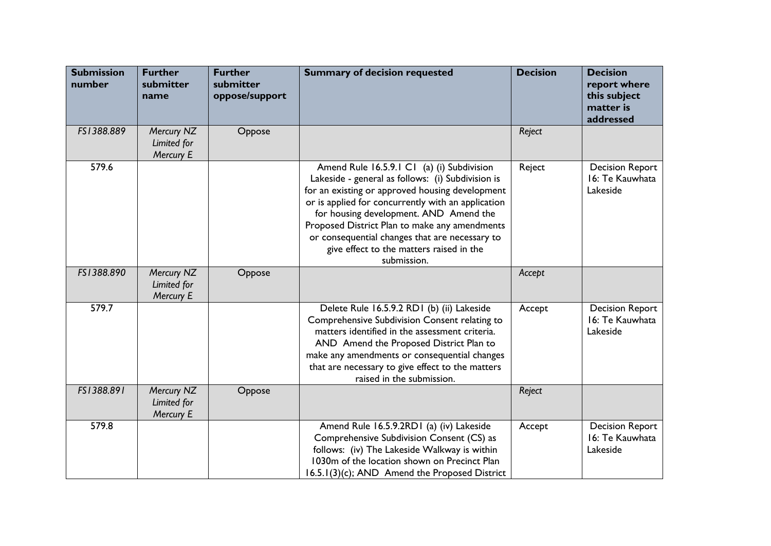| <b>Submission</b><br>number | <b>Further</b><br>submitter<br>name    | <b>Further</b><br>submitter<br>oppose/support | <b>Summary of decision requested</b>                                                                                                                                                                                                                                                                                                                                                                             | <b>Decision</b> | <b>Decision</b><br>report where<br>this subject<br>matter is<br>addressed |
|-----------------------------|----------------------------------------|-----------------------------------------------|------------------------------------------------------------------------------------------------------------------------------------------------------------------------------------------------------------------------------------------------------------------------------------------------------------------------------------------------------------------------------------------------------------------|-----------------|---------------------------------------------------------------------------|
| FS1388.889                  | Mercury NZ<br>Limited for<br>Mercury E | Oppose                                        |                                                                                                                                                                                                                                                                                                                                                                                                                  | Reject          |                                                                           |
| 579.6                       |                                        |                                               | Amend Rule 16.5.9.1 C1 (a) (i) Subdivision<br>Lakeside - general as follows: (i) Subdivision is<br>for an existing or approved housing development<br>or is applied for concurrently with an application<br>for housing development. AND Amend the<br>Proposed District Plan to make any amendments<br>or consequential changes that are necessary to<br>give effect to the matters raised in the<br>submission. | Reject          | <b>Decision Report</b><br>16: Te Kauwhata<br>Lakeside                     |
| FS1388.890                  | Mercury NZ<br>Limited for<br>Mercury E | Oppose                                        |                                                                                                                                                                                                                                                                                                                                                                                                                  | Accept          |                                                                           |
| 579.7                       |                                        |                                               | Delete Rule 16.5.9.2 RD1 (b) (ii) Lakeside<br>Comprehensive Subdivision Consent relating to<br>matters identified in the assessment criteria.<br>AND Amend the Proposed District Plan to<br>make any amendments or consequential changes<br>that are necessary to give effect to the matters<br>raised in the submission.                                                                                        | Accept          | <b>Decision Report</b><br>16: Te Kauwhata<br>Lakeside                     |
| FS1388.891                  | Mercury NZ<br>Limited for<br>Mercury E | Oppose                                        |                                                                                                                                                                                                                                                                                                                                                                                                                  | Reject          |                                                                           |
| 579.8                       |                                        |                                               | Amend Rule 16.5.9.2RD1 (a) (iv) Lakeside<br>Comprehensive Subdivision Consent (CS) as<br>follows: (iv) The Lakeside Walkway is within<br>1030m of the location shown on Precinct Plan<br>16.5.1(3)(c); AND Amend the Proposed District                                                                                                                                                                           | Accept          | <b>Decision Report</b><br>16: Te Kauwhata<br>Lakeside                     |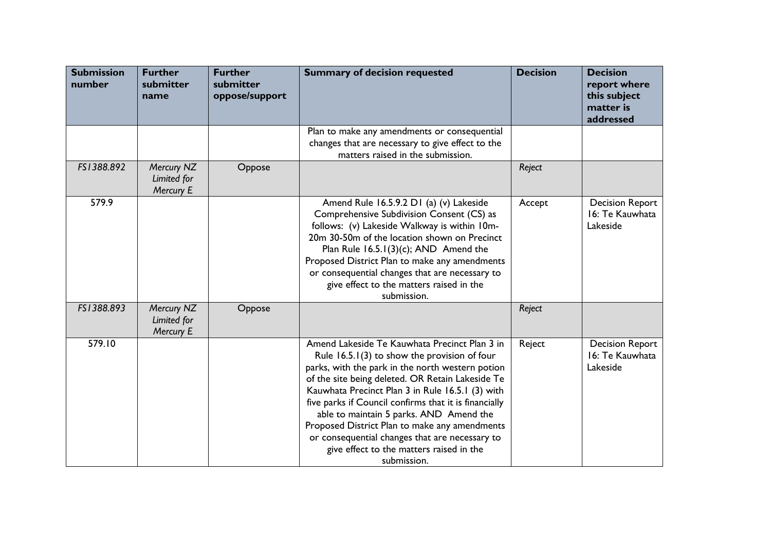| <b>Submission</b><br>number | <b>Further</b><br>submitter<br>name    | <b>Further</b><br>submitter<br>oppose/support | <b>Summary of decision requested</b>                                                                                                                                                                                                                                                                                                                                                                                                                                                                                          | <b>Decision</b> | <b>Decision</b><br>report where<br>this subject<br>matter is<br>addressed |
|-----------------------------|----------------------------------------|-----------------------------------------------|-------------------------------------------------------------------------------------------------------------------------------------------------------------------------------------------------------------------------------------------------------------------------------------------------------------------------------------------------------------------------------------------------------------------------------------------------------------------------------------------------------------------------------|-----------------|---------------------------------------------------------------------------|
|                             |                                        |                                               | Plan to make any amendments or consequential<br>changes that are necessary to give effect to the<br>matters raised in the submission.                                                                                                                                                                                                                                                                                                                                                                                         |                 |                                                                           |
| FS1388.892                  | Mercury NZ<br>Limited for<br>Mercury E | Oppose                                        |                                                                                                                                                                                                                                                                                                                                                                                                                                                                                                                               | Reject          |                                                                           |
| 579.9                       |                                        |                                               | Amend Rule 16.5.9.2 D1 (a) (v) Lakeside<br>Comprehensive Subdivision Consent (CS) as<br>follows: (v) Lakeside Walkway is within 10m-<br>20m 30-50m of the location shown on Precinct<br>Plan Rule $16.5.1(3)(c)$ ; AND Amend the<br>Proposed District Plan to make any amendments<br>or consequential changes that are necessary to<br>give effect to the matters raised in the<br>submission.                                                                                                                                | Accept          | <b>Decision Report</b><br>16: Te Kauwhata<br>Lakeside                     |
| FS1388.893                  | Mercury NZ<br>Limited for<br>Mercury E | Oppose                                        |                                                                                                                                                                                                                                                                                                                                                                                                                                                                                                                               | Reject          |                                                                           |
| 579.10                      |                                        |                                               | Amend Lakeside Te Kauwhata Precinct Plan 3 in<br>Rule $16.5.1(3)$ to show the provision of four<br>parks, with the park in the north western potion<br>of the site being deleted. OR Retain Lakeside Te<br>Kauwhata Precinct Plan 3 in Rule 16.5.1 (3) with<br>five parks if Council confirms that it is financially<br>able to maintain 5 parks. AND Amend the<br>Proposed District Plan to make any amendments<br>or consequential changes that are necessary to<br>give effect to the matters raised in the<br>submission. | Reject          | <b>Decision Report</b><br>16: Te Kauwhata<br>Lakeside                     |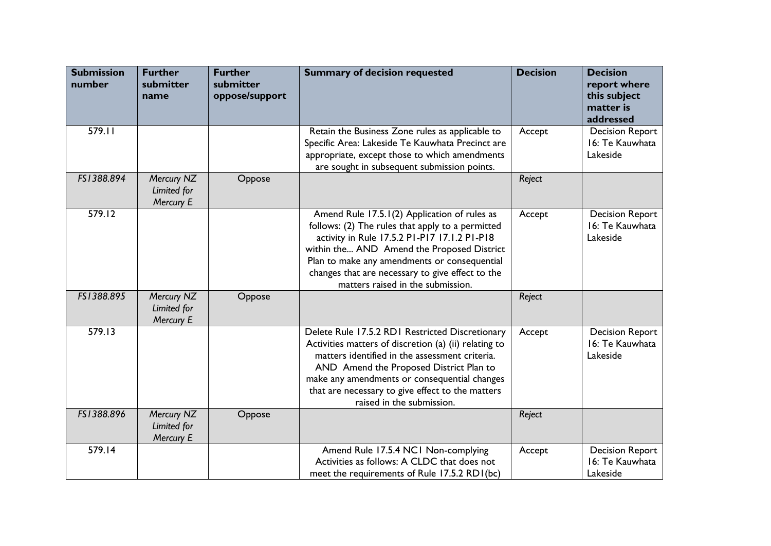| <b>Submission</b><br>number | <b>Further</b><br>submitter<br>name    | <b>Further</b><br>submitter<br>oppose/support | <b>Summary of decision requested</b>                                                                                                                                                                                                                                                                                                    | <b>Decision</b> | <b>Decision</b><br>report where<br>this subject<br>matter is<br>addressed |
|-----------------------------|----------------------------------------|-----------------------------------------------|-----------------------------------------------------------------------------------------------------------------------------------------------------------------------------------------------------------------------------------------------------------------------------------------------------------------------------------------|-----------------|---------------------------------------------------------------------------|
| 579.11                      |                                        |                                               | Retain the Business Zone rules as applicable to<br>Specific Area: Lakeside Te Kauwhata Precinct are<br>appropriate, except those to which amendments<br>are sought in subsequent submission points.                                                                                                                                     | Accept          | <b>Decision Report</b><br>16: Te Kauwhata<br>Lakeside                     |
| FS1388.894                  | Mercury NZ<br>Limited for<br>Mercury E | Oppose                                        |                                                                                                                                                                                                                                                                                                                                         | Reject          |                                                                           |
| 579.12                      |                                        |                                               | Amend Rule 17.5.1(2) Application of rules as<br>follows: (2) The rules that apply to a permitted<br>activity in Rule 17.5.2 PI-P17 17.1.2 PI-P18<br>within the AND Amend the Proposed District<br>Plan to make any amendments or consequential<br>changes that are necessary to give effect to the<br>matters raised in the submission. | Accept          | <b>Decision Report</b><br>16: Te Kauwhata<br>Lakeside                     |
| FS1388.895                  | Mercury NZ<br>Limited for<br>Mercury E | Oppose                                        |                                                                                                                                                                                                                                                                                                                                         | Reject          |                                                                           |
| 579.13                      |                                        |                                               | Delete Rule 17.5.2 RD1 Restricted Discretionary<br>Activities matters of discretion (a) (ii) relating to<br>matters identified in the assessment criteria.<br>AND Amend the Proposed District Plan to<br>make any amendments or consequential changes<br>that are necessary to give effect to the matters<br>raised in the submission.  | Accept          | <b>Decision Report</b><br>16: Te Kauwhata<br>Lakeside                     |
| FS1388.896                  | Mercury NZ<br>Limited for<br>Mercury E | Oppose                                        |                                                                                                                                                                                                                                                                                                                                         | Reject          |                                                                           |
| 579.14                      |                                        |                                               | Amend Rule 17.5.4 NC1 Non-complying<br>Activities as follows: A CLDC that does not<br>meet the requirements of Rule 17.5.2 RD1(bc)                                                                                                                                                                                                      | Accept          | <b>Decision Report</b><br>16: Te Kauwhata<br>Lakeside                     |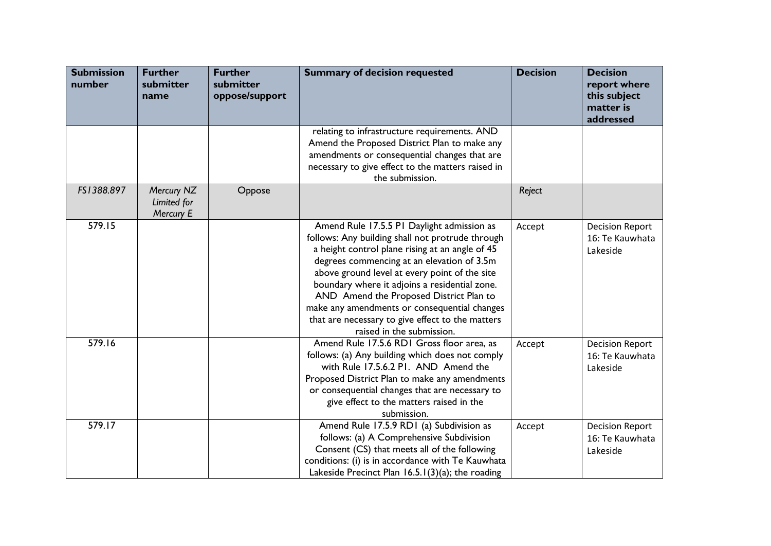| <b>Submission</b><br>number | <b>Further</b><br>submitter<br>name    | <b>Further</b><br>submitter<br>oppose/support | <b>Summary of decision requested</b>                                                                                                                                                                                                                                                                                                                                                                                                                                          | <b>Decision</b> | <b>Decision</b><br>report where<br>this subject<br>matter is<br>addressed |
|-----------------------------|----------------------------------------|-----------------------------------------------|-------------------------------------------------------------------------------------------------------------------------------------------------------------------------------------------------------------------------------------------------------------------------------------------------------------------------------------------------------------------------------------------------------------------------------------------------------------------------------|-----------------|---------------------------------------------------------------------------|
|                             |                                        |                                               | relating to infrastructure requirements. AND<br>Amend the Proposed District Plan to make any<br>amendments or consequential changes that are<br>necessary to give effect to the matters raised in<br>the submission.                                                                                                                                                                                                                                                          |                 |                                                                           |
| FS1388.897                  | Mercury NZ<br>Limited for<br>Mercury E | Oppose                                        |                                                                                                                                                                                                                                                                                                                                                                                                                                                                               | Reject          |                                                                           |
| 579.15                      |                                        |                                               | Amend Rule 17.5.5 P1 Daylight admission as<br>follows: Any building shall not protrude through<br>a height control plane rising at an angle of 45<br>degrees commencing at an elevation of 3.5m<br>above ground level at every point of the site<br>boundary where it adjoins a residential zone.<br>AND Amend the Proposed District Plan to<br>make any amendments or consequential changes<br>that are necessary to give effect to the matters<br>raised in the submission. | Accept          | <b>Decision Report</b><br>16: Te Kauwhata<br>Lakeside                     |
| 579.16                      |                                        |                                               | Amend Rule 17.5.6 RD1 Gross floor area, as<br>follows: (a) Any building which does not comply<br>with Rule 17.5.6.2 PI. AND Amend the<br>Proposed District Plan to make any amendments<br>or consequential changes that are necessary to<br>give effect to the matters raised in the<br>submission.                                                                                                                                                                           | Accept          | <b>Decision Report</b><br>16: Te Kauwhata<br>Lakeside                     |
| 579.17                      |                                        |                                               | Amend Rule 17.5.9 RD1 (a) Subdivision as<br>follows: (a) A Comprehensive Subdivision<br>Consent (CS) that meets all of the following<br>conditions: (i) is in accordance with Te Kauwhata<br>Lakeside Precinct Plan 16.5.1(3)(a); the roading                                                                                                                                                                                                                                 | Accept          | <b>Decision Report</b><br>16: Te Kauwhata<br>Lakeside                     |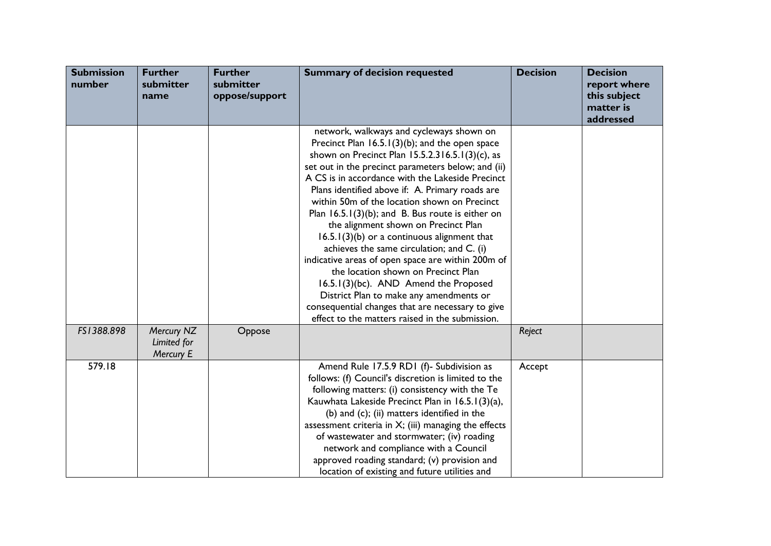| <b>Submission</b><br>number | <b>Further</b><br>submitter<br>name    | <b>Further</b><br>submitter<br>oppose/support | <b>Summary of decision requested</b>                                                                                                                                                                                                                                                                                                                                                                                                                                                                                                                                                                                                                                                                                                                                                                                                              | <b>Decision</b> | <b>Decision</b><br>report where<br>this subject<br>matter is<br>addressed |
|-----------------------------|----------------------------------------|-----------------------------------------------|---------------------------------------------------------------------------------------------------------------------------------------------------------------------------------------------------------------------------------------------------------------------------------------------------------------------------------------------------------------------------------------------------------------------------------------------------------------------------------------------------------------------------------------------------------------------------------------------------------------------------------------------------------------------------------------------------------------------------------------------------------------------------------------------------------------------------------------------------|-----------------|---------------------------------------------------------------------------|
|                             |                                        |                                               | network, walkways and cycleways shown on<br>Precinct Plan $16.5.1(3)(b)$ ; and the open space<br>shown on Precinct Plan 15.5.2.316.5.1(3)(c), as<br>set out in the precinct parameters below; and (ii)<br>A CS is in accordance with the Lakeside Precinct<br>Plans identified above if: A. Primary roads are<br>within 50m of the location shown on Precinct<br>Plan $16.5.1(3)(b)$ ; and B. Bus route is either on<br>the alignment shown on Precinct Plan<br>$16.5.1(3)(b)$ or a continuous alignment that<br>achieves the same circulation; and C. (i)<br>indicative areas of open space are within 200m of<br>the location shown on Precinct Plan<br>16.5.1(3)(bc). AND Amend the Proposed<br>District Plan to make any amendments or<br>consequential changes that are necessary to give<br>effect to the matters raised in the submission. |                 |                                                                           |
| FS1388.898                  | Mercury NZ<br>Limited for<br>Mercury E | Oppose                                        |                                                                                                                                                                                                                                                                                                                                                                                                                                                                                                                                                                                                                                                                                                                                                                                                                                                   | Reject          |                                                                           |
| 579.18                      |                                        |                                               | Amend Rule 17.5.9 RD1 (f)- Subdivision as<br>follows: (f) Council's discretion is limited to the<br>following matters: (i) consistency with the Te<br>Kauwhata Lakeside Precinct Plan in 16.5.1(3)(a),<br>(b) and (c); (ii) matters identified in the<br>assessment criteria in $X$ ; (iii) managing the effects<br>of wastewater and stormwater; (iv) roading<br>network and compliance with a Council<br>approved roading standard; (v) provision and<br>location of existing and future utilities and                                                                                                                                                                                                                                                                                                                                          | Accept          |                                                                           |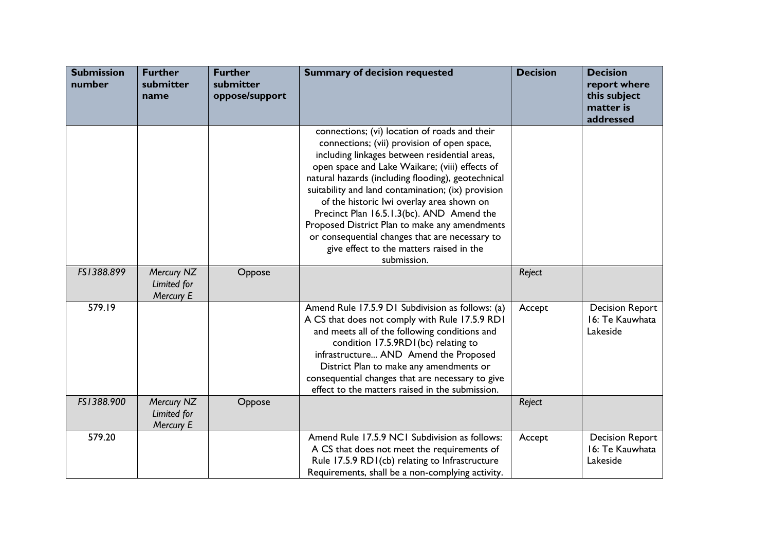| <b>Submission</b><br>number | <b>Further</b><br>submitter<br>name    | <b>Further</b><br>submitter<br>oppose/support | <b>Summary of decision requested</b>                                                                                                                                                                                                                                                                                                                                                                                                                                                                                                                                | <b>Decision</b> | <b>Decision</b><br>report where<br>this subject<br>matter is<br>addressed |
|-----------------------------|----------------------------------------|-----------------------------------------------|---------------------------------------------------------------------------------------------------------------------------------------------------------------------------------------------------------------------------------------------------------------------------------------------------------------------------------------------------------------------------------------------------------------------------------------------------------------------------------------------------------------------------------------------------------------------|-----------------|---------------------------------------------------------------------------|
|                             |                                        |                                               | connections; (vi) location of roads and their<br>connections; (vii) provision of open space,<br>including linkages between residential areas,<br>open space and Lake Waikare; (viii) effects of<br>natural hazards (including flooding), geotechnical<br>suitability and land contamination; (ix) provision<br>of the historic lwi overlay area shown on<br>Precinct Plan 16.5.1.3(bc). AND Amend the<br>Proposed District Plan to make any amendments<br>or consequential changes that are necessary to<br>give effect to the matters raised in the<br>submission. |                 |                                                                           |
| FS1388.899                  | Mercury NZ<br>Limited for<br>Mercury E | Oppose                                        |                                                                                                                                                                                                                                                                                                                                                                                                                                                                                                                                                                     | Reject          |                                                                           |
| 579.19                      |                                        |                                               | Amend Rule 17.5.9 D1 Subdivision as follows: (a)<br>A CS that does not comply with Rule 17.5.9 RD1<br>and meets all of the following conditions and<br>condition 17.5.9RD1(bc) relating to<br>infrastructure AND Amend the Proposed<br>District Plan to make any amendments or<br>consequential changes that are necessary to give<br>effect to the matters raised in the submission.                                                                                                                                                                               | Accept          | <b>Decision Report</b><br>16: Te Kauwhata<br>Lakeside                     |
| FS1388.900                  | Mercury NZ<br>Limited for<br>Mercury E | Oppose                                        |                                                                                                                                                                                                                                                                                                                                                                                                                                                                                                                                                                     | Reject          |                                                                           |
| 579.20                      |                                        |                                               | Amend Rule 17.5.9 NCI Subdivision as follows:<br>A CS that does not meet the requirements of<br>Rule 17.5.9 RD1(cb) relating to Infrastructure<br>Requirements, shall be a non-complying activity.                                                                                                                                                                                                                                                                                                                                                                  | Accept          | <b>Decision Report</b><br>16: Te Kauwhata<br>Lakeside                     |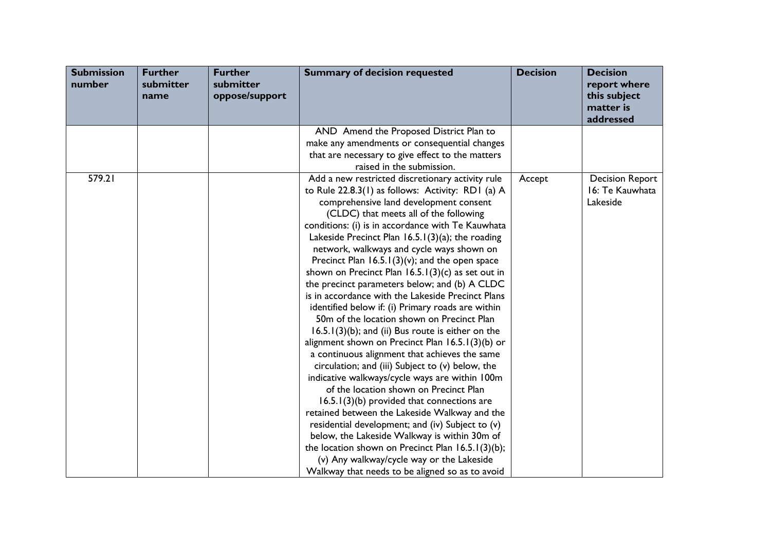| <b>Submission</b><br>number | <b>Further</b><br>submitter<br>name | <b>Further</b><br>submitter<br>oppose/support | <b>Summary of decision requested</b>                                                                                                                                                                                                                                                                                                                                                                                                                                                                                                                                                                                                                                                                                                                                                                                                                                                                                                                                                                                                                                                                                                                                                                                                                                                                                                          | <b>Decision</b> | <b>Decision</b><br>report where<br>this subject<br>matter is<br>addressed |
|-----------------------------|-------------------------------------|-----------------------------------------------|-----------------------------------------------------------------------------------------------------------------------------------------------------------------------------------------------------------------------------------------------------------------------------------------------------------------------------------------------------------------------------------------------------------------------------------------------------------------------------------------------------------------------------------------------------------------------------------------------------------------------------------------------------------------------------------------------------------------------------------------------------------------------------------------------------------------------------------------------------------------------------------------------------------------------------------------------------------------------------------------------------------------------------------------------------------------------------------------------------------------------------------------------------------------------------------------------------------------------------------------------------------------------------------------------------------------------------------------------|-----------------|---------------------------------------------------------------------------|
|                             |                                     |                                               | AND Amend the Proposed District Plan to<br>make any amendments or consequential changes<br>that are necessary to give effect to the matters<br>raised in the submission.                                                                                                                                                                                                                                                                                                                                                                                                                                                                                                                                                                                                                                                                                                                                                                                                                                                                                                                                                                                                                                                                                                                                                                      |                 |                                                                           |
| 579.21                      |                                     |                                               | Add a new restricted discretionary activity rule<br>to Rule 22.8.3(1) as follows: Activity: RD1 (a) A<br>comprehensive land development consent<br>(CLDC) that meets all of the following<br>conditions: (i) is in accordance with Te Kauwhata<br>Lakeside Precinct Plan $16.5.1(3)(a)$ ; the roading<br>network, walkways and cycle ways shown on<br>Precinct Plan $16.5.1(3)(v)$ ; and the open space<br>shown on Precinct Plan 16.5.1(3)(c) as set out in<br>the precinct parameters below; and (b) A CLDC<br>is in accordance with the Lakeside Precinct Plans<br>identified below if: (i) Primary roads are within<br>50m of the location shown on Precinct Plan<br>$16.5.1(3)(b)$ ; and (ii) Bus route is either on the<br>alignment shown on Precinct Plan 16.5.1(3)(b) or<br>a continuous alignment that achieves the same<br>circulation; and (iii) Subject to (v) below, the<br>indicative walkways/cycle ways are within 100m<br>of the location shown on Precinct Plan<br>16.5.1(3)(b) provided that connections are<br>retained between the Lakeside Walkway and the<br>residential development; and (iv) Subject to (v)<br>below, the Lakeside Walkway is within 30m of<br>the location shown on Precinct Plan $16.5.1(3)(b)$ ;<br>(v) Any walkway/cycle way or the Lakeside<br>Walkway that needs to be aligned so as to avoid | Accept          | <b>Decision Report</b><br>16: Te Kauwhata<br>Lakeside                     |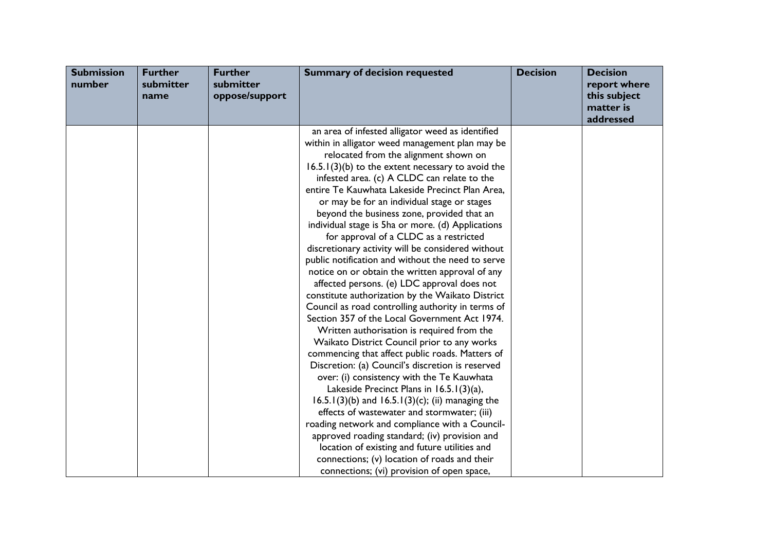| <b>Submission</b><br>number | <b>Further</b><br>submitter<br>name | <b>Further</b><br>submitter<br>oppose/support | <b>Summary of decision requested</b>                | <b>Decision</b> | <b>Decision</b><br>report where<br>this subject<br>matter is<br>addressed |
|-----------------------------|-------------------------------------|-----------------------------------------------|-----------------------------------------------------|-----------------|---------------------------------------------------------------------------|
|                             |                                     |                                               | an area of infested alligator weed as identified    |                 |                                                                           |
|                             |                                     |                                               | within in alligator weed management plan may be     |                 |                                                                           |
|                             |                                     |                                               | relocated from the alignment shown on               |                 |                                                                           |
|                             |                                     |                                               | $16.5.1(3)(b)$ to the extent necessary to avoid the |                 |                                                                           |
|                             |                                     |                                               | infested area. (c) A CLDC can relate to the         |                 |                                                                           |
|                             |                                     |                                               | entire Te Kauwhata Lakeside Precinct Plan Area,     |                 |                                                                           |
|                             |                                     |                                               | or may be for an individual stage or stages         |                 |                                                                           |
|                             |                                     |                                               | beyond the business zone, provided that an          |                 |                                                                           |
|                             |                                     |                                               | individual stage is 5ha or more. (d) Applications   |                 |                                                                           |
|                             |                                     |                                               | for approval of a CLDC as a restricted              |                 |                                                                           |
|                             |                                     |                                               | discretionary activity will be considered without   |                 |                                                                           |
|                             |                                     |                                               | public notification and without the need to serve   |                 |                                                                           |
|                             |                                     |                                               | notice on or obtain the written approval of any     |                 |                                                                           |
|                             |                                     |                                               | affected persons. (e) LDC approval does not         |                 |                                                                           |
|                             |                                     |                                               | constitute authorization by the Waikato District    |                 |                                                                           |
|                             |                                     |                                               | Council as road controlling authority in terms of   |                 |                                                                           |
|                             |                                     |                                               | Section 357 of the Local Government Act 1974.       |                 |                                                                           |
|                             |                                     |                                               | Written authorisation is required from the          |                 |                                                                           |
|                             |                                     |                                               | Waikato District Council prior to any works         |                 |                                                                           |
|                             |                                     |                                               | commencing that affect public roads. Matters of     |                 |                                                                           |
|                             |                                     |                                               | Discretion: (a) Council's discretion is reserved    |                 |                                                                           |
|                             |                                     |                                               | over: (i) consistency with the Te Kauwhata          |                 |                                                                           |
|                             |                                     |                                               | Lakeside Precinct Plans in $16.5.1(3)(a)$ ,         |                 |                                                                           |
|                             |                                     |                                               | 16.5.1(3)(b) and 16.5.1(3)(c); (ii) managing the    |                 |                                                                           |
|                             |                                     |                                               | effects of wastewater and stormwater; (iii)         |                 |                                                                           |
|                             |                                     |                                               | roading network and compliance with a Council-      |                 |                                                                           |
|                             |                                     |                                               | approved roading standard; (iv) provision and       |                 |                                                                           |
|                             |                                     |                                               | location of existing and future utilities and       |                 |                                                                           |
|                             |                                     |                                               | connections; (v) location of roads and their        |                 |                                                                           |
|                             |                                     |                                               | connections; (vi) provision of open space,          |                 |                                                                           |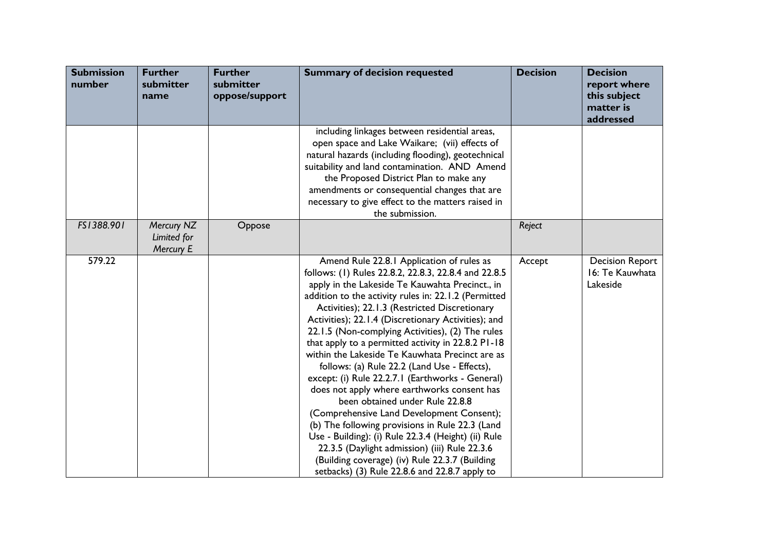| <b>Submission</b><br>number | <b>Further</b><br>submitter<br>name    | <b>Further</b><br>submitter<br>oppose/support | <b>Summary of decision requested</b>                                                                                                                                                                                                                                                                                                                                                                                                                                                                                                                                                                                                                                                                                                                                                                                                                                                                                                                                               | <b>Decision</b> | <b>Decision</b><br>report where<br>this subject<br>matter is<br>addressed |
|-----------------------------|----------------------------------------|-----------------------------------------------|------------------------------------------------------------------------------------------------------------------------------------------------------------------------------------------------------------------------------------------------------------------------------------------------------------------------------------------------------------------------------------------------------------------------------------------------------------------------------------------------------------------------------------------------------------------------------------------------------------------------------------------------------------------------------------------------------------------------------------------------------------------------------------------------------------------------------------------------------------------------------------------------------------------------------------------------------------------------------------|-----------------|---------------------------------------------------------------------------|
|                             |                                        |                                               | including linkages between residential areas,<br>open space and Lake Waikare; (vii) effects of<br>natural hazards (including flooding), geotechnical<br>suitability and land contamination. AND Amend<br>the Proposed District Plan to make any<br>amendments or consequential changes that are<br>necessary to give effect to the matters raised in<br>the submission.                                                                                                                                                                                                                                                                                                                                                                                                                                                                                                                                                                                                            |                 |                                                                           |
| FS1388.901                  | Mercury NZ<br>Limited for<br>Mercury E | Oppose                                        |                                                                                                                                                                                                                                                                                                                                                                                                                                                                                                                                                                                                                                                                                                                                                                                                                                                                                                                                                                                    | Reject          |                                                                           |
| 579.22                      |                                        |                                               | Amend Rule 22.8.1 Application of rules as<br>follows: (1) Rules 22.8.2, 22.8.3, 22.8.4 and 22.8.5<br>apply in the Lakeside Te Kauwahta Precinct., in<br>addition to the activity rules in: 22.1.2 (Permitted<br>Activities); 22.1.3 (Restricted Discretionary<br>Activities); 22.1.4 (Discretionary Activities); and<br>22.1.5 (Non-complying Activities), (2) The rules<br>that apply to a permitted activity in 22.8.2 PI-18<br>within the Lakeside Te Kauwhata Precinct are as<br>follows: (a) Rule 22.2 (Land Use - Effects),<br>except: (i) Rule 22.2.7.1 (Earthworks - General)<br>does not apply where earthworks consent has<br>been obtained under Rule 22.8.8<br>(Comprehensive Land Development Consent);<br>(b) The following provisions in Rule 22.3 (Land<br>Use - Building): (i) Rule 22.3.4 (Height) (ii) Rule<br>22.3.5 (Daylight admission) (iii) Rule 22.3.6<br>(Building coverage) (iv) Rule 22.3.7 (Building<br>setbacks) (3) Rule 22.8.6 and 22.8.7 apply to | Accept          | <b>Decision Report</b><br>16: Te Kauwhata<br>Lakeside                     |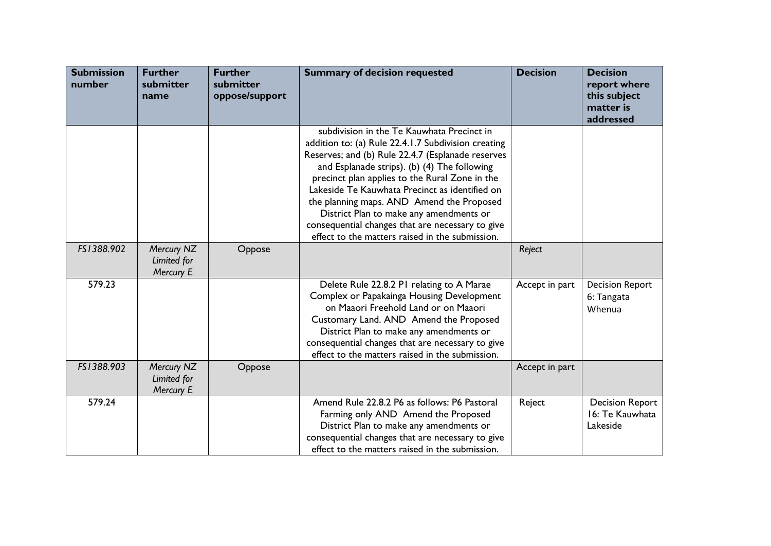| <b>Submission</b><br>number | <b>Further</b><br>submitter<br>name    | <b>Further</b><br>submitter<br>oppose/support | <b>Summary of decision requested</b>                                                                                                                                                                                                                                                                                                                                                                                                                                                                      | <b>Decision</b> | <b>Decision</b><br>report where<br>this subject<br>matter is<br>addressed |
|-----------------------------|----------------------------------------|-----------------------------------------------|-----------------------------------------------------------------------------------------------------------------------------------------------------------------------------------------------------------------------------------------------------------------------------------------------------------------------------------------------------------------------------------------------------------------------------------------------------------------------------------------------------------|-----------------|---------------------------------------------------------------------------|
|                             |                                        |                                               | subdivision in the Te Kauwhata Precinct in<br>addition to: (a) Rule 22.4.1.7 Subdivision creating<br>Reserves; and (b) Rule 22.4.7 (Esplanade reserves<br>and Esplanade strips). (b) (4) The following<br>precinct plan applies to the Rural Zone in the<br>Lakeside Te Kauwhata Precinct as identified on<br>the planning maps. AND Amend the Proposed<br>District Plan to make any amendments or<br>consequential changes that are necessary to give<br>effect to the matters raised in the submission. |                 |                                                                           |
| FS1388.902                  | Mercury NZ<br>Limited for<br>Mercury E | Oppose                                        |                                                                                                                                                                                                                                                                                                                                                                                                                                                                                                           | Reject          |                                                                           |
| 579.23                      |                                        |                                               | Delete Rule 22.8.2 PI relating to A Marae<br>Complex or Papakainga Housing Development<br>on Maaori Freehold Land or on Maaori<br>Customary Land. AND Amend the Proposed<br>District Plan to make any amendments or<br>consequential changes that are necessary to give<br>effect to the matters raised in the submission.                                                                                                                                                                                | Accept in part  | <b>Decision Report</b><br>6: Tangata<br>Whenua                            |
| FS1388.903                  | Mercury NZ<br>Limited for<br>Mercury E | Oppose                                        |                                                                                                                                                                                                                                                                                                                                                                                                                                                                                                           | Accept in part  |                                                                           |
| 579.24                      |                                        |                                               | Amend Rule 22.8.2 P6 as follows: P6 Pastoral<br>Farming only AND Amend the Proposed<br>District Plan to make any amendments or<br>consequential changes that are necessary to give<br>effect to the matters raised in the submission.                                                                                                                                                                                                                                                                     | Reject          | <b>Decision Report</b><br>16: Te Kauwhata<br>Lakeside                     |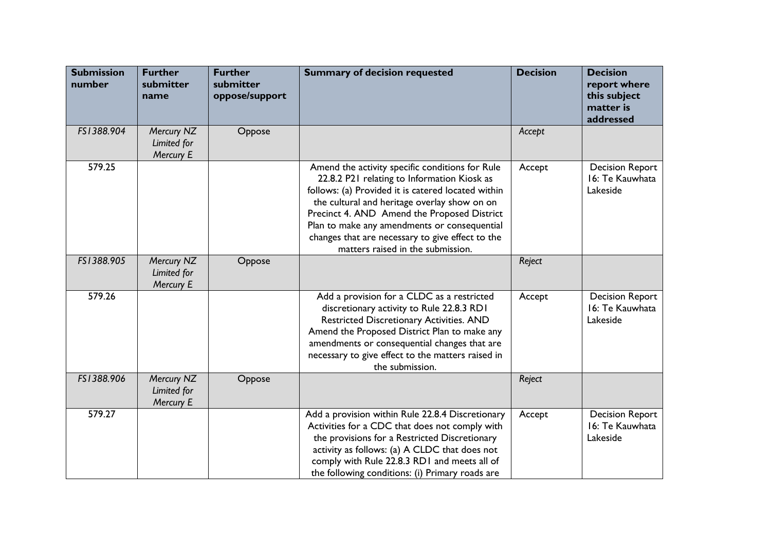| <b>Submission</b><br>number | <b>Further</b><br>submitter<br>name    | <b>Further</b><br>submitter<br>oppose/support | <b>Summary of decision requested</b>                                                                                                                                                                                                                                                                                                                                                         | <b>Decision</b> | <b>Decision</b><br>report where<br>this subject<br>matter is<br>addressed |
|-----------------------------|----------------------------------------|-----------------------------------------------|----------------------------------------------------------------------------------------------------------------------------------------------------------------------------------------------------------------------------------------------------------------------------------------------------------------------------------------------------------------------------------------------|-----------------|---------------------------------------------------------------------------|
| FS1388.904                  | Mercury NZ<br>Limited for<br>Mercury E | Oppose                                        |                                                                                                                                                                                                                                                                                                                                                                                              | Accept          |                                                                           |
| 579.25                      |                                        |                                               | Amend the activity specific conditions for Rule<br>22.8.2 P21 relating to Information Kiosk as<br>follows: (a) Provided it is catered located within<br>the cultural and heritage overlay show on on<br>Precinct 4. AND Amend the Proposed District<br>Plan to make any amendments or consequential<br>changes that are necessary to give effect to the<br>matters raised in the submission. | Accept          | <b>Decision Report</b><br>16: Te Kauwhata<br>Lakeside                     |
| FS1388.905                  | Mercury NZ<br>Limited for<br>Mercury E | Oppose                                        |                                                                                                                                                                                                                                                                                                                                                                                              | Reject          |                                                                           |
| 579.26                      |                                        |                                               | Add a provision for a CLDC as a restricted<br>discretionary activity to Rule 22.8.3 RD1<br>Restricted Discretionary Activities. AND<br>Amend the Proposed District Plan to make any<br>amendments or consequential changes that are<br>necessary to give effect to the matters raised in<br>the submission.                                                                                  | Accept          | <b>Decision Report</b><br>16: Te Kauwhata<br>Lakeside                     |
| FS1388.906                  | Mercury NZ<br>Limited for<br>Mercury E | Oppose                                        |                                                                                                                                                                                                                                                                                                                                                                                              | Reject          |                                                                           |
| 579.27                      |                                        |                                               | Add a provision within Rule 22.8.4 Discretionary<br>Activities for a CDC that does not comply with<br>the provisions for a Restricted Discretionary<br>activity as follows: (a) A CLDC that does not<br>comply with Rule 22.8.3 RD1 and meets all of<br>the following conditions: (i) Primary roads are                                                                                      | Accept          | <b>Decision Report</b><br>16: Te Kauwhata<br>Lakeside                     |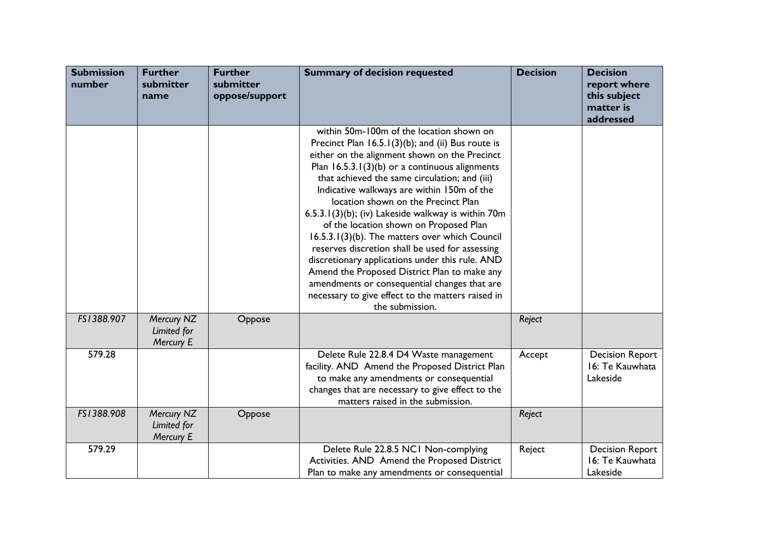| <b>Submission</b><br>number | <b>Further</b><br>submitter<br>name    | <b>Further</b><br>submitter<br>oppose/support | <b>Summary of decision requested</b>                                                                                                                                                                                                                                                                                                                                                                                                                                                                                                                                                                                                                                                                                                                                        | <b>Decision</b> | <b>Decision</b><br>report where<br>this subject<br>matter is<br>addressed |
|-----------------------------|----------------------------------------|-----------------------------------------------|-----------------------------------------------------------------------------------------------------------------------------------------------------------------------------------------------------------------------------------------------------------------------------------------------------------------------------------------------------------------------------------------------------------------------------------------------------------------------------------------------------------------------------------------------------------------------------------------------------------------------------------------------------------------------------------------------------------------------------------------------------------------------------|-----------------|---------------------------------------------------------------------------|
|                             |                                        |                                               | within 50m-100m of the location shown on<br>Precinct Plan 16.5.1(3)(b); and (ii) Bus route is<br>either on the alignment shown on the Precinct<br>Plan $16.5.3.1(3)(b)$ or a continuous alignments<br>that achieved the same circulation; and (iii)<br>Indicative walkways are within 150m of the<br>location shown on the Precinct Plan<br>$6.5.3.1(3)(b)$ ; (iv) Lakeside walkway is within 70m<br>of the location shown on Proposed Plan<br>16.5.3.1(3)(b). The matters over which Council<br>reserves discretion shall be used for assessing<br>discretionary applications under this rule. AND<br>Amend the Proposed District Plan to make any<br>amendments or consequential changes that are<br>necessary to give effect to the matters raised in<br>the submission. |                 |                                                                           |
| FS1388.907                  | Mercury NZ<br>Limited for<br>Mercury E | Oppose                                        |                                                                                                                                                                                                                                                                                                                                                                                                                                                                                                                                                                                                                                                                                                                                                                             | Reject          |                                                                           |
| 579.28                      |                                        |                                               | Delete Rule 22.8.4 D4 Waste management<br>facility. AND Amend the Proposed District Plan<br>to make any amendments or consequential<br>changes that are necessary to give effect to the<br>matters raised in the submission.                                                                                                                                                                                                                                                                                                                                                                                                                                                                                                                                                | Accept          | <b>Decision Report</b><br>16: Te Kauwhata<br>Lakeside                     |
| FS1388.908                  | Mercury NZ<br>Limited for<br>Mercury E | Oppose                                        |                                                                                                                                                                                                                                                                                                                                                                                                                                                                                                                                                                                                                                                                                                                                                                             | Reject          |                                                                           |
| 579.29                      |                                        |                                               | Delete Rule 22.8.5 NCI Non-complying<br>Activities. AND Amend the Proposed District<br>Plan to make any amendments or consequential                                                                                                                                                                                                                                                                                                                                                                                                                                                                                                                                                                                                                                         | Reject          | <b>Decision Report</b><br>16: Te Kauwhata<br>Lakeside                     |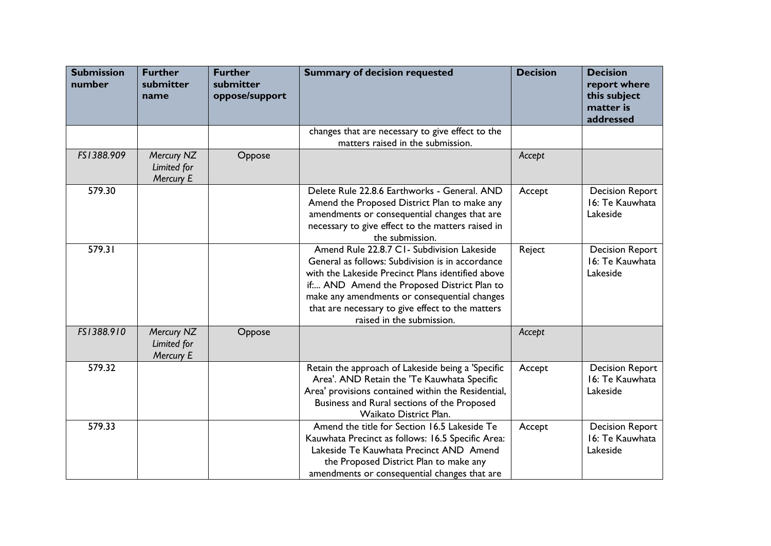| <b>Submission</b><br>number | <b>Further</b><br>submitter<br>name    | <b>Further</b><br>submitter<br>oppose/support | <b>Summary of decision requested</b>                                                                                                                                                                                                                                                                                               | <b>Decision</b> | <b>Decision</b><br>report where<br>this subject<br>matter is<br>addressed |
|-----------------------------|----------------------------------------|-----------------------------------------------|------------------------------------------------------------------------------------------------------------------------------------------------------------------------------------------------------------------------------------------------------------------------------------------------------------------------------------|-----------------|---------------------------------------------------------------------------|
|                             |                                        |                                               | changes that are necessary to give effect to the<br>matters raised in the submission.                                                                                                                                                                                                                                              |                 |                                                                           |
| FS1388.909                  | Mercury NZ<br>Limited for<br>Mercury E | Oppose                                        |                                                                                                                                                                                                                                                                                                                                    | Accept          |                                                                           |
| 579.30                      |                                        |                                               | Delete Rule 22.8.6 Earthworks - General. AND<br>Amend the Proposed District Plan to make any<br>amendments or consequential changes that are<br>necessary to give effect to the matters raised in<br>the submission.                                                                                                               | Accept          | <b>Decision Report</b><br>16: Te Kauwhata<br>Lakeside                     |
| 579.31                      |                                        |                                               | Amend Rule 22.8.7 C1- Subdivision Lakeside<br>General as follows: Subdivision is in accordance<br>with the Lakeside Precinct Plans identified above<br>if AND Amend the Proposed District Plan to<br>make any amendments or consequential changes<br>that are necessary to give effect to the matters<br>raised in the submission. | Reject          | <b>Decision Report</b><br>16: Te Kauwhata<br>Lakeside                     |
| FS1388.910                  | Mercury NZ<br>Limited for<br>Mercury E | Oppose                                        |                                                                                                                                                                                                                                                                                                                                    | Accept          |                                                                           |
| 579.32                      |                                        |                                               | Retain the approach of Lakeside being a 'Specific<br>Area'. AND Retain the 'Te Kauwhata Specific<br>Area' provisions contained within the Residential,<br>Business and Rural sections of the Proposed<br>Waikato District Plan.                                                                                                    | Accept          | <b>Decision Report</b><br>16: Te Kauwhata<br>Lakeside                     |
| 579.33                      |                                        |                                               | Amend the title for Section 16.5 Lakeside Te<br>Kauwhata Precinct as follows: 16.5 Specific Area:<br>Lakeside Te Kauwhata Precinct AND Amend<br>the Proposed District Plan to make any<br>amendments or consequential changes that are                                                                                             | Accept          | <b>Decision Report</b><br>16: Te Kauwhata<br>Lakeside                     |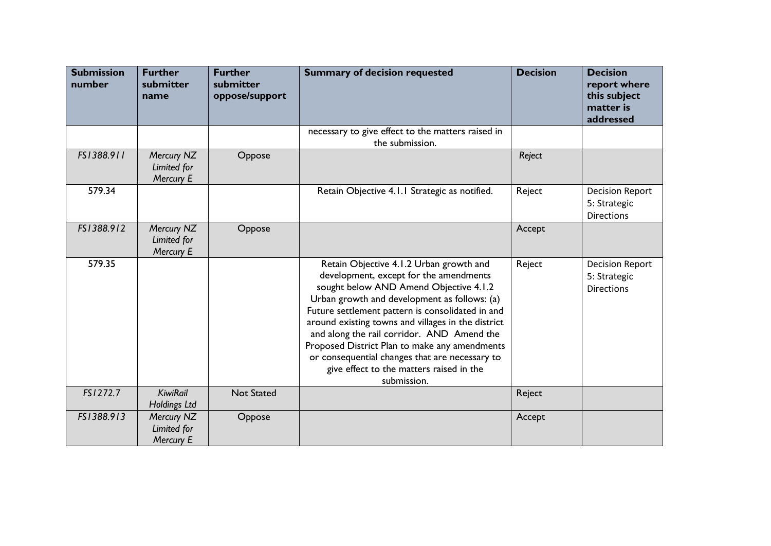| <b>Submission</b><br>number | <b>Further</b><br>submitter<br>name    | <b>Further</b><br>submitter<br>oppose/support | <b>Summary of decision requested</b>                                                                                                                                                                                                                                                                                                                                                                                                                                                              | <b>Decision</b> | <b>Decision</b><br>report where<br>this subject<br>matter is<br>addressed |
|-----------------------------|----------------------------------------|-----------------------------------------------|---------------------------------------------------------------------------------------------------------------------------------------------------------------------------------------------------------------------------------------------------------------------------------------------------------------------------------------------------------------------------------------------------------------------------------------------------------------------------------------------------|-----------------|---------------------------------------------------------------------------|
|                             |                                        |                                               | necessary to give effect to the matters raised in<br>the submission.                                                                                                                                                                                                                                                                                                                                                                                                                              |                 |                                                                           |
| FS1388.911                  | Mercury NZ<br>Limited for<br>Mercury E | Oppose                                        |                                                                                                                                                                                                                                                                                                                                                                                                                                                                                                   | Reject          |                                                                           |
| 579.34                      |                                        |                                               | Retain Objective 4.1.1 Strategic as notified.                                                                                                                                                                                                                                                                                                                                                                                                                                                     | Reject          | <b>Decision Report</b><br>5: Strategic<br><b>Directions</b>               |
| FS1388.912                  | Mercury NZ<br>Limited for<br>Mercury E | Oppose                                        |                                                                                                                                                                                                                                                                                                                                                                                                                                                                                                   | Accept          |                                                                           |
| 579.35                      |                                        |                                               | Retain Objective 4.1.2 Urban growth and<br>development, except for the amendments<br>sought below AND Amend Objective 4.1.2<br>Urban growth and development as follows: (a)<br>Future settlement pattern is consolidated in and<br>around existing towns and villages in the district<br>and along the rail corridor. AND Amend the<br>Proposed District Plan to make any amendments<br>or consequential changes that are necessary to<br>give effect to the matters raised in the<br>submission. | Reject          | <b>Decision Report</b><br>5: Strategic<br><b>Directions</b>               |
| FS1272.7                    | <b>KiwiRail</b><br>Holdings Ltd        | <b>Not Stated</b>                             |                                                                                                                                                                                                                                                                                                                                                                                                                                                                                                   | Reject          |                                                                           |
| FS1388.913                  | Mercury NZ<br>Limited for<br>Mercury E | Oppose                                        |                                                                                                                                                                                                                                                                                                                                                                                                                                                                                                   | Accept          |                                                                           |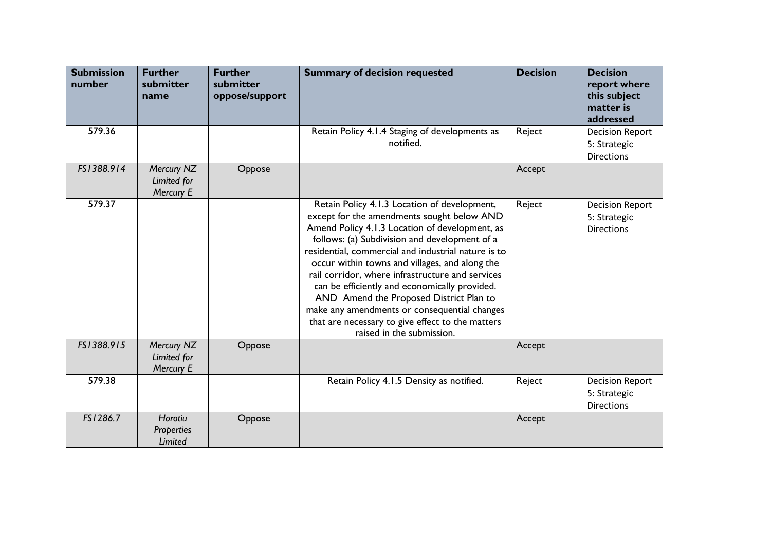| <b>Submission</b><br>number | <b>Further</b><br>submitter<br>name     | <b>Further</b><br>submitter<br>oppose/support | <b>Summary of decision requested</b>                                                                                                                                                                                                                                                                                                                                                                                                                                                                                                                                                    | <b>Decision</b> | <b>Decision</b><br>report where<br>this subject<br>matter is<br>addressed |
|-----------------------------|-----------------------------------------|-----------------------------------------------|-----------------------------------------------------------------------------------------------------------------------------------------------------------------------------------------------------------------------------------------------------------------------------------------------------------------------------------------------------------------------------------------------------------------------------------------------------------------------------------------------------------------------------------------------------------------------------------------|-----------------|---------------------------------------------------------------------------|
| 579.36                      |                                         |                                               | Retain Policy 4.1.4 Staging of developments as<br>notified.                                                                                                                                                                                                                                                                                                                                                                                                                                                                                                                             | Reject          | <b>Decision Report</b><br>5: Strategic<br><b>Directions</b>               |
| FS1388.914                  | Mercury NZ<br>Limited for<br>Mercury E  | Oppose                                        |                                                                                                                                                                                                                                                                                                                                                                                                                                                                                                                                                                                         | Accept          |                                                                           |
| 579.37                      |                                         |                                               | Retain Policy 4.1.3 Location of development,<br>except for the amendments sought below AND<br>Amend Policy 4.1.3 Location of development, as<br>follows: (a) Subdivision and development of a<br>residential, commercial and industrial nature is to<br>occur within towns and villages, and along the<br>rail corridor, where infrastructure and services<br>can be efficiently and economically provided.<br>AND Amend the Proposed District Plan to<br>make any amendments or consequential changes<br>that are necessary to give effect to the matters<br>raised in the submission. | Reject          | <b>Decision Report</b><br>5: Strategic<br><b>Directions</b>               |
| FS1388.915                  | Mercury NZ<br>Limited for<br>Mercury E  | Oppose                                        |                                                                                                                                                                                                                                                                                                                                                                                                                                                                                                                                                                                         | Accept          |                                                                           |
| 579.38                      |                                         |                                               | Retain Policy 4.1.5 Density as notified.                                                                                                                                                                                                                                                                                                                                                                                                                                                                                                                                                | Reject          | <b>Decision Report</b><br>5: Strategic<br><b>Directions</b>               |
| FS1286.7                    | Horotiu<br><b>Properties</b><br>Limited | Oppose                                        |                                                                                                                                                                                                                                                                                                                                                                                                                                                                                                                                                                                         | Accept          |                                                                           |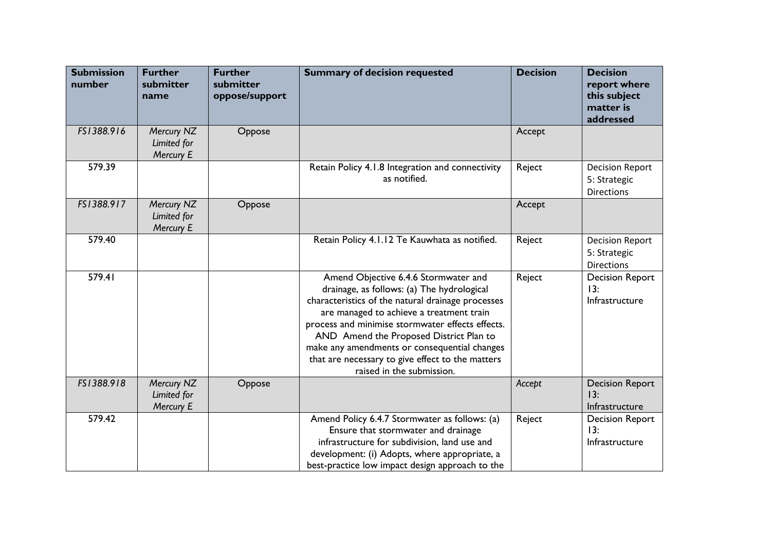| <b>Submission</b><br>number | <b>Further</b><br>submitter<br>name    | <b>Further</b><br>submitter<br>oppose/support | <b>Summary of decision requested</b>                                                                                                                                                                                                                                                                                                                                                                                | <b>Decision</b> | <b>Decision</b><br>report where<br>this subject<br>matter is<br>addressed |
|-----------------------------|----------------------------------------|-----------------------------------------------|---------------------------------------------------------------------------------------------------------------------------------------------------------------------------------------------------------------------------------------------------------------------------------------------------------------------------------------------------------------------------------------------------------------------|-----------------|---------------------------------------------------------------------------|
| FS1388.916                  | Mercury NZ<br>Limited for<br>Mercury E | Oppose                                        |                                                                                                                                                                                                                                                                                                                                                                                                                     | Accept          |                                                                           |
| 579.39                      |                                        |                                               | Retain Policy 4.1.8 Integration and connectivity<br>as notified.                                                                                                                                                                                                                                                                                                                                                    | Reject          | <b>Decision Report</b><br>5: Strategic<br><b>Directions</b>               |
| FS1388.917                  | Mercury NZ<br>Limited for<br>Mercury E | Oppose                                        |                                                                                                                                                                                                                                                                                                                                                                                                                     | Accept          |                                                                           |
| 579.40                      |                                        |                                               | Retain Policy 4.1.12 Te Kauwhata as notified.                                                                                                                                                                                                                                                                                                                                                                       | Reject          | <b>Decision Report</b><br>5: Strategic<br><b>Directions</b>               |
| 579.41                      |                                        |                                               | Amend Objective 6.4.6 Stormwater and<br>drainage, as follows: (a) The hydrological<br>characteristics of the natural drainage processes<br>are managed to achieve a treatment train<br>process and minimise stormwater effects effects.<br>AND Amend the Proposed District Plan to<br>make any amendments or consequential changes<br>that are necessary to give effect to the matters<br>raised in the submission. | Reject          | <b>Decision Report</b><br>13:<br>Infrastructure                           |
| FS1388.918                  | Mercury NZ<br>Limited for<br>Mercury E | Oppose                                        |                                                                                                                                                                                                                                                                                                                                                                                                                     | Accept          | <b>Decision Report</b><br>13:<br>Infrastructure                           |
| 579.42                      |                                        |                                               | Amend Policy 6.4.7 Stormwater as follows: (a)<br>Ensure that stormwater and drainage<br>infrastructure for subdivision, land use and<br>development: (i) Adopts, where appropriate, a<br>best-practice low impact design approach to the                                                                                                                                                                            | Reject          | <b>Decision Report</b><br>13:<br>Infrastructure                           |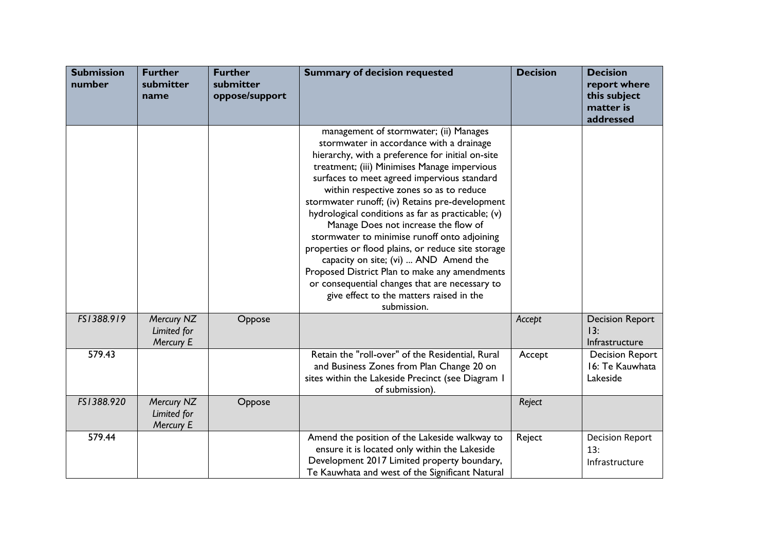| <b>Submission</b><br>number | <b>Further</b><br>submitter<br>name    | <b>Further</b><br>submitter<br>oppose/support | <b>Summary of decision requested</b>                                                                                                                                                                                                                                                                                                                                                                                                                                                                                                                                                                                                                                                                                                           | <b>Decision</b> | <b>Decision</b><br>report where<br>this subject<br>matter is<br>addressed |
|-----------------------------|----------------------------------------|-----------------------------------------------|------------------------------------------------------------------------------------------------------------------------------------------------------------------------------------------------------------------------------------------------------------------------------------------------------------------------------------------------------------------------------------------------------------------------------------------------------------------------------------------------------------------------------------------------------------------------------------------------------------------------------------------------------------------------------------------------------------------------------------------------|-----------------|---------------------------------------------------------------------------|
|                             |                                        |                                               | management of stormwater; (ii) Manages<br>stormwater in accordance with a drainage<br>hierarchy, with a preference for initial on-site<br>treatment; (iii) Minimises Manage impervious<br>surfaces to meet agreed impervious standard<br>within respective zones so as to reduce<br>stormwater runoff; (iv) Retains pre-development<br>hydrological conditions as far as practicable; (v)<br>Manage Does not increase the flow of<br>stormwater to minimise runoff onto adjoining<br>properties or flood plains, or reduce site storage<br>capacity on site; (vi)  AND Amend the<br>Proposed District Plan to make any amendments<br>or consequential changes that are necessary to<br>give effect to the matters raised in the<br>submission. |                 |                                                                           |
| FS1388.919                  | Mercury NZ<br>Limited for<br>Mercury E | Oppose                                        |                                                                                                                                                                                                                                                                                                                                                                                                                                                                                                                                                                                                                                                                                                                                                | Accept          | <b>Decision Report</b><br>13:<br>Infrastructure                           |
| 579.43                      |                                        |                                               | Retain the "roll-over" of the Residential, Rural<br>and Business Zones from Plan Change 20 on<br>sites within the Lakeside Precinct (see Diagram I<br>of submission).                                                                                                                                                                                                                                                                                                                                                                                                                                                                                                                                                                          | Accept          | <b>Decision Report</b><br>16: Te Kauwhata<br>Lakeside                     |
| FS1388.920                  | Mercury NZ<br>Limited for<br>Mercury E | Oppose                                        |                                                                                                                                                                                                                                                                                                                                                                                                                                                                                                                                                                                                                                                                                                                                                | Reject          |                                                                           |
| 579.44                      |                                        |                                               | Amend the position of the Lakeside walkway to<br>ensure it is located only within the Lakeside<br>Development 2017 Limited property boundary,<br>Te Kauwhata and west of the Significant Natural                                                                                                                                                                                                                                                                                                                                                                                                                                                                                                                                               | Reject          | <b>Decision Report</b><br>13:<br>Infrastructure                           |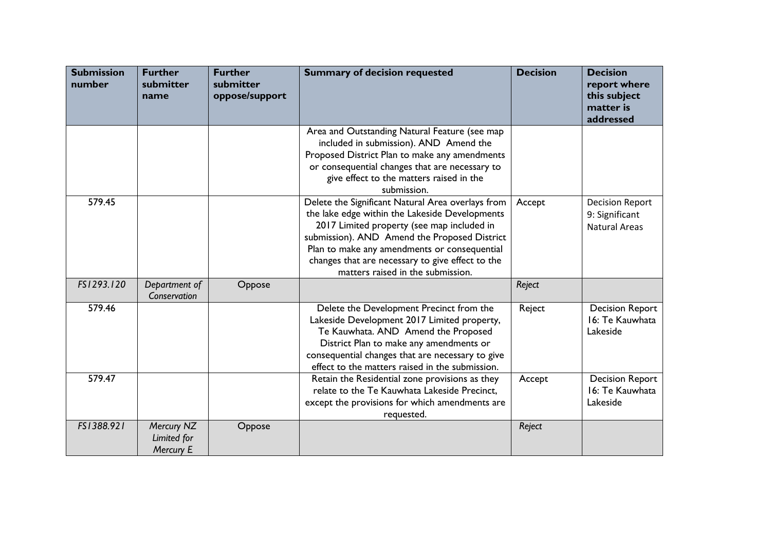| <b>Submission</b><br>number | <b>Further</b><br>submitter<br>name    | <b>Further</b><br>submitter<br>oppose/support | <b>Summary of decision requested</b>                                                                                                                                                                                                                                                                                                       | <b>Decision</b> | <b>Decision</b><br>report where<br>this subject<br>matter is<br>addressed |
|-----------------------------|----------------------------------------|-----------------------------------------------|--------------------------------------------------------------------------------------------------------------------------------------------------------------------------------------------------------------------------------------------------------------------------------------------------------------------------------------------|-----------------|---------------------------------------------------------------------------|
|                             |                                        |                                               | Area and Outstanding Natural Feature (see map<br>included in submission). AND Amend the<br>Proposed District Plan to make any amendments<br>or consequential changes that are necessary to<br>give effect to the matters raised in the<br>submission.                                                                                      |                 |                                                                           |
| 579.45                      |                                        |                                               | Delete the Significant Natural Area overlays from<br>the lake edge within the Lakeside Developments<br>2017 Limited property (see map included in<br>submission). AND Amend the Proposed District<br>Plan to make any amendments or consequential<br>changes that are necessary to give effect to the<br>matters raised in the submission. | Accept          | <b>Decision Report</b><br>9: Significant<br><b>Natural Areas</b>          |
| FS1293.120                  | Department of<br>Conservation          | Oppose                                        |                                                                                                                                                                                                                                                                                                                                            | Reject          |                                                                           |
| 579.46                      |                                        |                                               | Delete the Development Precinct from the<br>Lakeside Development 2017 Limited property,<br>Te Kauwhata. AND Amend the Proposed<br>District Plan to make any amendments or<br>consequential changes that are necessary to give<br>effect to the matters raised in the submission.                                                           | Reject          | <b>Decision Report</b><br>16: Te Kauwhata<br>Lakeside                     |
| 579.47                      |                                        |                                               | Retain the Residential zone provisions as they<br>relate to the Te Kauwhata Lakeside Precinct,<br>except the provisions for which amendments are<br>requested.                                                                                                                                                                             | Accept          | <b>Decision Report</b><br>16: Te Kauwhata<br>Lakeside                     |
| FS1388.921                  | Mercury NZ<br>Limited for<br>Mercury E | Oppose                                        |                                                                                                                                                                                                                                                                                                                                            | Reject          |                                                                           |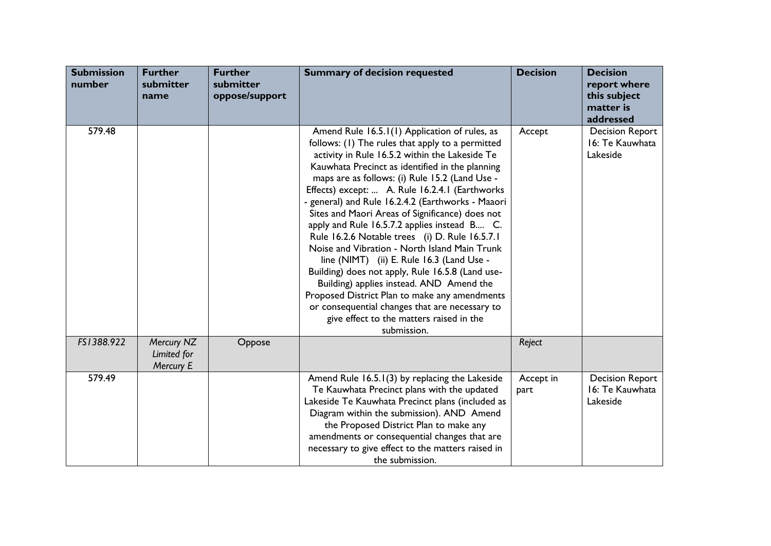| <b>Submission</b><br>number | <b>Further</b><br>submitter<br>name    | <b>Further</b><br>submitter<br>oppose/support | <b>Summary of decision requested</b>                                                                                                                                                                                                                                                                                                                                                                                                                                                                                                                                                                                                                                                                                                                                                                                                                                             | <b>Decision</b>   | <b>Decision</b><br>report where<br>this subject<br>matter is<br>addressed |
|-----------------------------|----------------------------------------|-----------------------------------------------|----------------------------------------------------------------------------------------------------------------------------------------------------------------------------------------------------------------------------------------------------------------------------------------------------------------------------------------------------------------------------------------------------------------------------------------------------------------------------------------------------------------------------------------------------------------------------------------------------------------------------------------------------------------------------------------------------------------------------------------------------------------------------------------------------------------------------------------------------------------------------------|-------------------|---------------------------------------------------------------------------|
| 579.48                      |                                        |                                               | Amend Rule 16.5.1(1) Application of rules, as<br>follows: (1) The rules that apply to a permitted<br>activity in Rule 16.5.2 within the Lakeside Te<br>Kauwhata Precinct as identified in the planning<br>maps are as follows: (i) Rule 15.2 (Land Use -<br>Effects) except:  A. Rule 16.2.4.1 (Earthworks<br>- general) and Rule 16.2.4.2 (Earthworks - Maaori<br>Sites and Maori Areas of Significance) does not<br>apply and Rule 16.5.7.2 applies instead B C.<br>Rule 16.2.6 Notable trees (i) D. Rule 16.5.7.1<br>Noise and Vibration - North Island Main Trunk<br>line (NIMT) (ii) E. Rule 16.3 (Land Use -<br>Building) does not apply, Rule 16.5.8 (Land use-<br>Building) applies instead. AND Amend the<br>Proposed District Plan to make any amendments<br>or consequential changes that are necessary to<br>give effect to the matters raised in the<br>submission. | Accept            | <b>Decision Report</b><br>16: Te Kauwhata<br>Lakeside                     |
| FS1388.922                  | Mercury NZ<br>Limited for<br>Mercury E | Oppose                                        |                                                                                                                                                                                                                                                                                                                                                                                                                                                                                                                                                                                                                                                                                                                                                                                                                                                                                  | Reject            |                                                                           |
| 579.49                      |                                        |                                               | Amend Rule 16.5.1(3) by replacing the Lakeside<br>Te Kauwhata Precinct plans with the updated<br>Lakeside Te Kauwhata Precinct plans (included as<br>Diagram within the submission). AND Amend<br>the Proposed District Plan to make any<br>amendments or consequential changes that are<br>necessary to give effect to the matters raised in<br>the submission.                                                                                                                                                                                                                                                                                                                                                                                                                                                                                                                 | Accept in<br>part | <b>Decision Report</b><br>16: Te Kauwhata<br>Lakeside                     |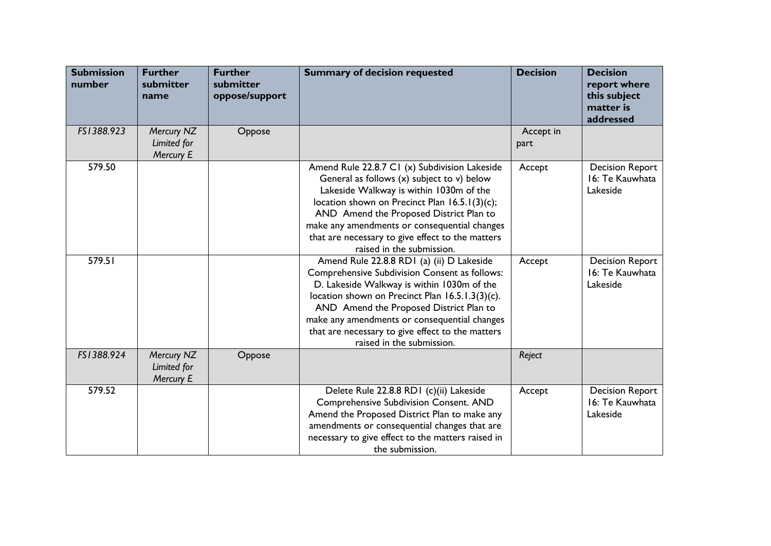| <b>Submission</b><br>number | <b>Further</b><br>submitter<br>name    | <b>Further</b><br>submitter<br>oppose/support | <b>Summary of decision requested</b>                                                                                                                                                                                                                                                                                                                                    | <b>Decision</b>   | <b>Decision</b><br>report where<br>this subject<br>matter is<br>addressed |
|-----------------------------|----------------------------------------|-----------------------------------------------|-------------------------------------------------------------------------------------------------------------------------------------------------------------------------------------------------------------------------------------------------------------------------------------------------------------------------------------------------------------------------|-------------------|---------------------------------------------------------------------------|
| FS1388.923                  | Mercury NZ<br>Limited for<br>Mercury E | Oppose                                        |                                                                                                                                                                                                                                                                                                                                                                         | Accept in<br>part |                                                                           |
| 579.50                      |                                        |                                               | Amend Rule 22.8.7 C1 (x) Subdivision Lakeside<br>General as follows (x) subject to v) below<br>Lakeside Walkway is within 1030m of the<br>location shown on Precinct Plan 16.5.1(3)(c);<br>AND Amend the Proposed District Plan to<br>make any amendments or consequential changes<br>that are necessary to give effect to the matters<br>raised in the submission.     | Accept            | <b>Decision Report</b><br>16: Te Kauwhata<br>Lakeside                     |
| 579.51                      |                                        |                                               | Amend Rule 22.8.8 RD1 (a) (ii) D Lakeside<br>Comprehensive Subdivision Consent as follows:<br>D. Lakeside Walkway is within 1030m of the<br>location shown on Precinct Plan 16.5.1.3(3)(c).<br>AND Amend the Proposed District Plan to<br>make any amendments or consequential changes<br>that are necessary to give effect to the matters<br>raised in the submission. | Accept            | <b>Decision Report</b><br>16: Te Kauwhata<br>Lakeside                     |
| FS1388.924                  | Mercury NZ<br>Limited for<br>Mercury E | Oppose                                        |                                                                                                                                                                                                                                                                                                                                                                         | Reject            |                                                                           |
| 579.52                      |                                        |                                               | Delete Rule 22.8.8 RD1 (c)(ii) Lakeside<br>Comprehensive Subdivision Consent. AND<br>Amend the Proposed District Plan to make any<br>amendments or consequential changes that are<br>necessary to give effect to the matters raised in<br>the submission.                                                                                                               | Accept            | <b>Decision Report</b><br>16: Te Kauwhata<br>Lakeside                     |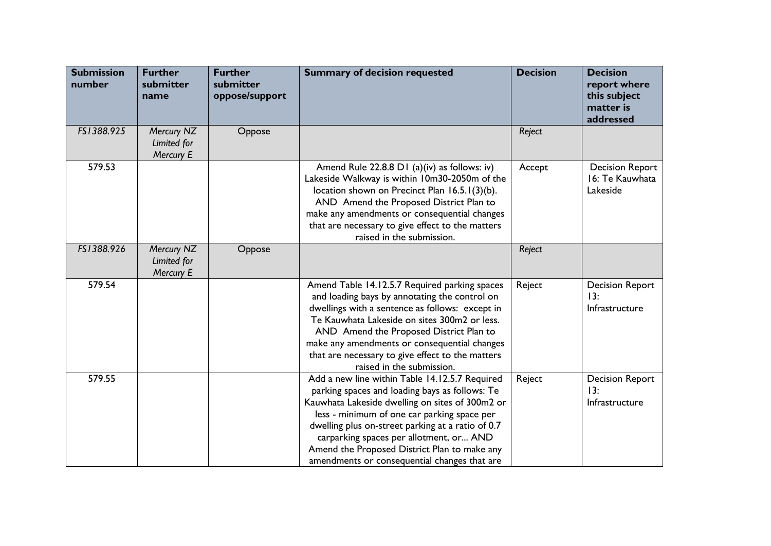| <b>Submission</b><br>number | <b>Further</b><br>submitter<br>name    | <b>Further</b><br>submitter<br>oppose/support | <b>Summary of decision requested</b>                                                                                                                                                                                                                                                                                                                                                               | <b>Decision</b> | <b>Decision</b><br>report where<br>this subject<br>matter is<br>addressed |
|-----------------------------|----------------------------------------|-----------------------------------------------|----------------------------------------------------------------------------------------------------------------------------------------------------------------------------------------------------------------------------------------------------------------------------------------------------------------------------------------------------------------------------------------------------|-----------------|---------------------------------------------------------------------------|
| FS1388.925                  | Mercury NZ<br>Limited for<br>Mercury E | Oppose                                        |                                                                                                                                                                                                                                                                                                                                                                                                    | Reject          |                                                                           |
| 579.53                      |                                        |                                               | Amend Rule 22.8.8 D1 (a)(iv) as follows: iv)<br>Lakeside Walkway is within 10m30-2050m of the<br>location shown on Precinct Plan 16.5.1(3)(b).<br>AND Amend the Proposed District Plan to<br>make any amendments or consequential changes<br>that are necessary to give effect to the matters<br>raised in the submission.                                                                         | Accept          | <b>Decision Report</b><br>16: Te Kauwhata<br>Lakeside                     |
| FS1388.926                  | Mercury NZ<br>Limited for<br>Mercury E | Oppose                                        |                                                                                                                                                                                                                                                                                                                                                                                                    | Reject          |                                                                           |
| 579.54                      |                                        |                                               | Amend Table 14.12.5.7 Required parking spaces<br>and loading bays by annotating the control on<br>dwellings with a sentence as follows: except in<br>Te Kauwhata Lakeside on sites 300m2 or less.<br>AND Amend the Proposed District Plan to<br>make any amendments or consequential changes<br>that are necessary to give effect to the matters<br>raised in the submission.                      | Reject          | <b>Decision Report</b><br>13:<br>Infrastructure                           |
| 579.55                      |                                        |                                               | Add a new line within Table 14.12.5.7 Required<br>parking spaces and loading bays as follows: Te<br>Kauwhata Lakeside dwelling on sites of 300m2 or<br>less - minimum of one car parking space per<br>dwelling plus on-street parking at a ratio of 0.7<br>carparking spaces per allotment, or AND<br>Amend the Proposed District Plan to make any<br>amendments or consequential changes that are | Reject          | <b>Decision Report</b><br>13:<br>Infrastructure                           |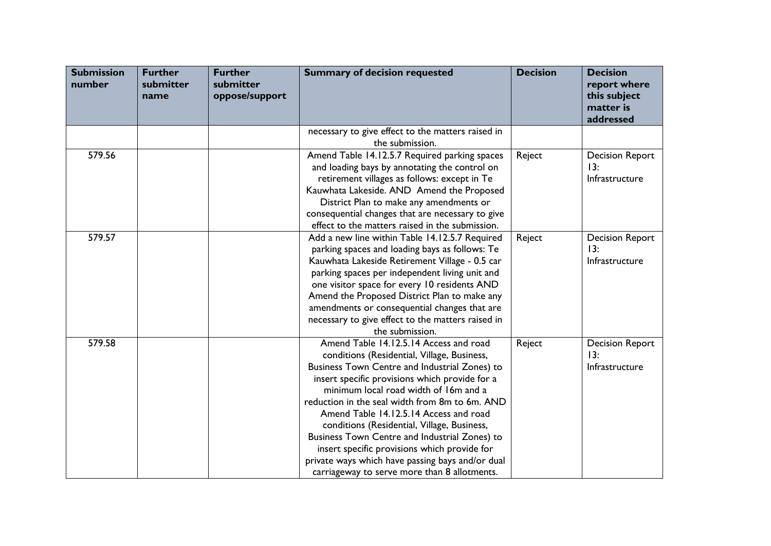| <b>Submission</b><br>number | <b>Further</b><br>submitter<br>name | <b>Further</b><br>submitter<br>oppose/support | <b>Summary of decision requested</b>                                                         | <b>Decision</b> | <b>Decision</b><br>report where<br>this subject<br>matter is<br>addressed |
|-----------------------------|-------------------------------------|-----------------------------------------------|----------------------------------------------------------------------------------------------|-----------------|---------------------------------------------------------------------------|
|                             |                                     |                                               | necessary to give effect to the matters raised in                                            |                 |                                                                           |
|                             |                                     |                                               | the submission.                                                                              |                 |                                                                           |
| 579.56                      |                                     |                                               | Amend Table 14.12.5.7 Required parking spaces                                                | Reject          | <b>Decision Report</b>                                                    |
|                             |                                     |                                               | and loading bays by annotating the control on                                                |                 | 13:                                                                       |
|                             |                                     |                                               | retirement villages as follows: except in Te                                                 |                 | Infrastructure                                                            |
|                             |                                     |                                               | Kauwhata Lakeside. AND Amend the Proposed                                                    |                 |                                                                           |
|                             |                                     |                                               | District Plan to make any amendments or                                                      |                 |                                                                           |
|                             |                                     |                                               | consequential changes that are necessary to give                                             |                 |                                                                           |
|                             |                                     |                                               | effect to the matters raised in the submission.                                              |                 |                                                                           |
| 579.57                      |                                     |                                               | Add a new line within Table 14.12.5.7 Required                                               | Reject          | <b>Decision Report</b>                                                    |
|                             |                                     |                                               | parking spaces and loading bays as follows: Te                                               |                 | 13:                                                                       |
|                             |                                     |                                               | Kauwhata Lakeside Retirement Village - 0.5 car                                               |                 | Infrastructure                                                            |
|                             |                                     |                                               | parking spaces per independent living unit and                                               |                 |                                                                           |
|                             |                                     |                                               | one visitor space for every 10 residents AND<br>Amend the Proposed District Plan to make any |                 |                                                                           |
|                             |                                     |                                               | amendments or consequential changes that are                                                 |                 |                                                                           |
|                             |                                     |                                               | necessary to give effect to the matters raised in                                            |                 |                                                                           |
|                             |                                     |                                               | the submission.                                                                              |                 |                                                                           |
| 579.58                      |                                     |                                               | Amend Table 14.12.5.14 Access and road                                                       | Reject          | <b>Decision Report</b>                                                    |
|                             |                                     |                                               | conditions (Residential, Village, Business,                                                  |                 | 13:                                                                       |
|                             |                                     |                                               | Business Town Centre and Industrial Zones) to                                                |                 | Infrastructure                                                            |
|                             |                                     |                                               | insert specific provisions which provide for a                                               |                 |                                                                           |
|                             |                                     |                                               | minimum local road width of 16m and a                                                        |                 |                                                                           |
|                             |                                     |                                               | reduction in the seal width from 8m to 6m. AND                                               |                 |                                                                           |
|                             |                                     |                                               | Amend Table 14.12.5.14 Access and road                                                       |                 |                                                                           |
|                             |                                     |                                               | conditions (Residential, Village, Business,                                                  |                 |                                                                           |
|                             |                                     |                                               | Business Town Centre and Industrial Zones) to                                                |                 |                                                                           |
|                             |                                     |                                               | insert specific provisions which provide for                                                 |                 |                                                                           |
|                             |                                     |                                               | private ways which have passing bays and/or dual                                             |                 |                                                                           |
|                             |                                     |                                               | carriageway to serve more than 8 allotments.                                                 |                 |                                                                           |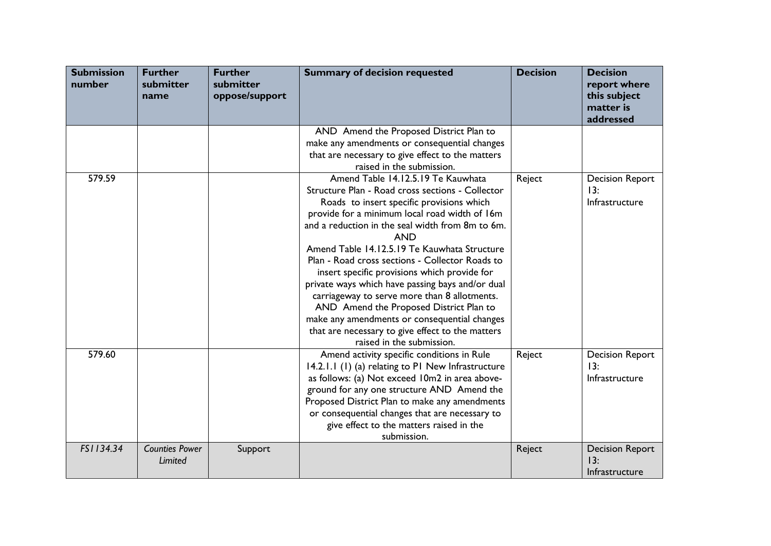| <b>Submission</b><br>number | <b>Further</b><br>submitter<br>name | <b>Further</b><br>submitter<br>oppose/support | <b>Summary of decision requested</b>                                                                                                                                                                                                                                                                                                                                                                                                                                                                                                                                                                                                                                                                                   | <b>Decision</b> | <b>Decision</b><br>report where<br>this subject<br>matter is<br>addressed |
|-----------------------------|-------------------------------------|-----------------------------------------------|------------------------------------------------------------------------------------------------------------------------------------------------------------------------------------------------------------------------------------------------------------------------------------------------------------------------------------------------------------------------------------------------------------------------------------------------------------------------------------------------------------------------------------------------------------------------------------------------------------------------------------------------------------------------------------------------------------------------|-----------------|---------------------------------------------------------------------------|
|                             |                                     |                                               | AND Amend the Proposed District Plan to<br>make any amendments or consequential changes<br>that are necessary to give effect to the matters                                                                                                                                                                                                                                                                                                                                                                                                                                                                                                                                                                            |                 |                                                                           |
| 579.59                      |                                     |                                               | raised in the submission.<br>Amend Table 14.12.5.19 Te Kauwhata<br>Structure Plan - Road cross sections - Collector<br>Roads to insert specific provisions which<br>provide for a minimum local road width of 16m<br>and a reduction in the seal width from 8m to 6m.<br><b>AND</b><br>Amend Table 14.12.5.19 Te Kauwhata Structure<br>Plan - Road cross sections - Collector Roads to<br>insert specific provisions which provide for<br>private ways which have passing bays and/or dual<br>carriageway to serve more than 8 allotments.<br>AND Amend the Proposed District Plan to<br>make any amendments or consequential changes<br>that are necessary to give effect to the matters<br>raised in the submission. | Reject          | <b>Decision Report</b><br>13:<br>Infrastructure                           |
| 579.60                      |                                     |                                               | Amend activity specific conditions in Rule<br>14.2.1.1 (1) (a) relating to P1 New Infrastructure<br>as follows: (a) Not exceed 10m2 in area above-<br>ground for any one structure AND Amend the<br>Proposed District Plan to make any amendments<br>or consequential changes that are necessary to<br>give effect to the matters raised in the<br>submission.                                                                                                                                                                                                                                                                                                                                                         | Reject          | <b>Decision Report</b><br>13:<br>Infrastructure                           |
| FS1134.34                   | <b>Counties Power</b><br>Limited    | Support                                       |                                                                                                                                                                                                                                                                                                                                                                                                                                                                                                                                                                                                                                                                                                                        | Reject          | <b>Decision Report</b><br>13:<br>Infrastructure                           |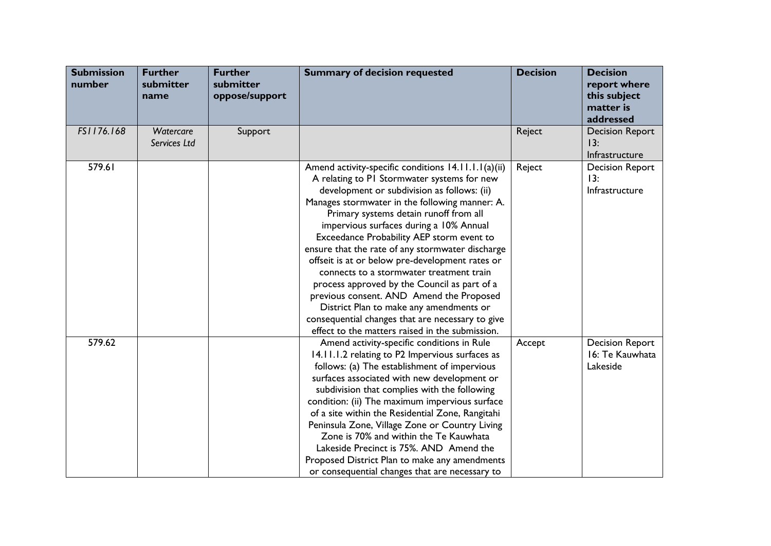| <b>Submission</b><br>number | <b>Further</b><br>submitter<br>name | <b>Further</b><br>submitter<br>oppose/support | <b>Summary of decision requested</b>                                                                                                                                                                                                                                                                                                                                                                                                                                                                                                                                                                                                                                                                                                   | <b>Decision</b> | <b>Decision</b><br>report where<br>this subject<br>matter is<br>addressed |
|-----------------------------|-------------------------------------|-----------------------------------------------|----------------------------------------------------------------------------------------------------------------------------------------------------------------------------------------------------------------------------------------------------------------------------------------------------------------------------------------------------------------------------------------------------------------------------------------------------------------------------------------------------------------------------------------------------------------------------------------------------------------------------------------------------------------------------------------------------------------------------------------|-----------------|---------------------------------------------------------------------------|
| FS1176.168                  | Watercare<br>Services Ltd           | Support                                       |                                                                                                                                                                                                                                                                                                                                                                                                                                                                                                                                                                                                                                                                                                                                        | Reject          | <b>Decision Report</b><br>13:<br>Infrastructure                           |
| 579.61                      |                                     |                                               | Amend activity-specific conditions 14.11.1.1(a)(ii)<br>A relating to PI Stormwater systems for new<br>development or subdivision as follows: (ii)<br>Manages stormwater in the following manner: A.<br>Primary systems detain runoff from all<br>impervious surfaces during a 10% Annual<br>Exceedance Probability AEP storm event to<br>ensure that the rate of any stormwater discharge<br>offseit is at or below pre-development rates or<br>connects to a stormwater treatment train<br>process approved by the Council as part of a<br>previous consent. AND Amend the Proposed<br>District Plan to make any amendments or<br>consequential changes that are necessary to give<br>effect to the matters raised in the submission. | Reject          | <b>Decision Report</b><br>13:<br>Infrastructure                           |
| 579.62                      |                                     |                                               | Amend activity-specific conditions in Rule<br>14.11.1.2 relating to P2 Impervious surfaces as<br>follows: (a) The establishment of impervious<br>surfaces associated with new development or<br>subdivision that complies with the following<br>condition: (ii) The maximum impervious surface<br>of a site within the Residential Zone, Rangitahi<br>Peninsula Zone, Village Zone or Country Living<br>Zone is 70% and within the Te Kauwhata<br>Lakeside Precinct is 75%. AND Amend the<br>Proposed District Plan to make any amendments<br>or consequential changes that are necessary to                                                                                                                                           | Accept          | <b>Decision Report</b><br>16: Te Kauwhata<br>Lakeside                     |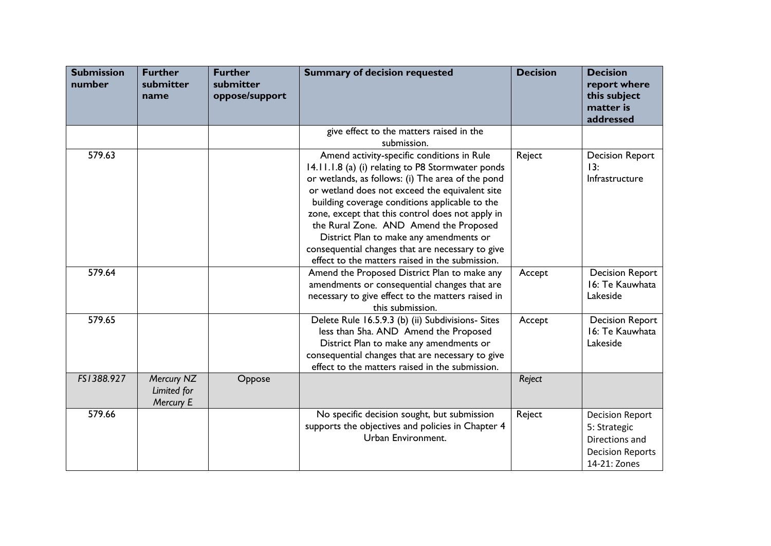| <b>Submission</b><br>number | <b>Further</b><br>submitter<br>name    | <b>Further</b><br>submitter<br>oppose/support | <b>Summary of decision requested</b>                                                                                                                                                                                                                                                                                                                                                                                                                                                                     | <b>Decision</b> | <b>Decision</b><br>report where<br>this subject<br>matter is<br>addressed                           |
|-----------------------------|----------------------------------------|-----------------------------------------------|----------------------------------------------------------------------------------------------------------------------------------------------------------------------------------------------------------------------------------------------------------------------------------------------------------------------------------------------------------------------------------------------------------------------------------------------------------------------------------------------------------|-----------------|-----------------------------------------------------------------------------------------------------|
|                             |                                        |                                               | give effect to the matters raised in the<br>submission.                                                                                                                                                                                                                                                                                                                                                                                                                                                  |                 |                                                                                                     |
| 579.63                      |                                        |                                               | Amend activity-specific conditions in Rule<br>14.11.1.8 (a) (i) relating to P8 Stormwater ponds<br>or wetlands, as follows: (i) The area of the pond<br>or wetland does not exceed the equivalent site<br>building coverage conditions applicable to the<br>zone, except that this control does not apply in<br>the Rural Zone. AND Amend the Proposed<br>District Plan to make any amendments or<br>consequential changes that are necessary to give<br>effect to the matters raised in the submission. | Reject          | <b>Decision Report</b><br>13:<br>Infrastructure                                                     |
| 579.64                      |                                        |                                               | Amend the Proposed District Plan to make any<br>amendments or consequential changes that are<br>necessary to give effect to the matters raised in<br>this submission.                                                                                                                                                                                                                                                                                                                                    | Accept          | <b>Decision Report</b><br>16: Te Kauwhata<br>Lakeside                                               |
| 579.65                      |                                        |                                               | Delete Rule 16.5.9.3 (b) (ii) Subdivisions- Sites<br>less than 5ha. AND Amend the Proposed<br>District Plan to make any amendments or<br>consequential changes that are necessary to give<br>effect to the matters raised in the submission.                                                                                                                                                                                                                                                             | Accept          | <b>Decision Report</b><br>16: Te Kauwhata<br>Lakeside                                               |
| FS1388.927                  | Mercury NZ<br>Limited for<br>Mercury E | Oppose                                        |                                                                                                                                                                                                                                                                                                                                                                                                                                                                                                          | Reject          |                                                                                                     |
| 579.66                      |                                        |                                               | No specific decision sought, but submission<br>supports the objectives and policies in Chapter 4<br>Urban Environment.                                                                                                                                                                                                                                                                                                                                                                                   | Reject          | <b>Decision Report</b><br>5: Strategic<br>Directions and<br><b>Decision Reports</b><br>14-21: Zones |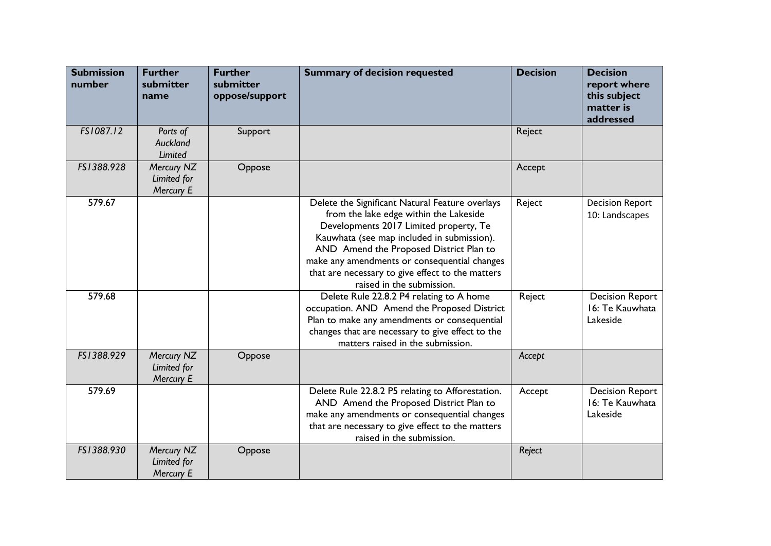| <b>Submission</b><br>number | <b>Further</b><br>submitter<br>name    | <b>Further</b><br>submitter<br>oppose/support | <b>Summary of decision requested</b>                                                                                                                                                                                                                                                                                                                          | <b>Decision</b> | <b>Decision</b><br>report where<br>this subject<br>matter is<br>addressed |
|-----------------------------|----------------------------------------|-----------------------------------------------|---------------------------------------------------------------------------------------------------------------------------------------------------------------------------------------------------------------------------------------------------------------------------------------------------------------------------------------------------------------|-----------------|---------------------------------------------------------------------------|
| FS1087.12                   | Ports of<br>Auckland<br>Limited        | Support                                       |                                                                                                                                                                                                                                                                                                                                                               | Reject          |                                                                           |
| FS1388.928                  | Mercury NZ<br>Limited for<br>Mercury E | Oppose                                        |                                                                                                                                                                                                                                                                                                                                                               | Accept          |                                                                           |
| 579.67                      |                                        |                                               | Delete the Significant Natural Feature overlays<br>from the lake edge within the Lakeside<br>Developments 2017 Limited property, Te<br>Kauwhata (see map included in submission).<br>AND Amend the Proposed District Plan to<br>make any amendments or consequential changes<br>that are necessary to give effect to the matters<br>raised in the submission. | Reject          | <b>Decision Report</b><br>10: Landscapes                                  |
| 579.68                      |                                        |                                               | Delete Rule 22.8.2 P4 relating to A home<br>occupation. AND Amend the Proposed District<br>Plan to make any amendments or consequential<br>changes that are necessary to give effect to the<br>matters raised in the submission.                                                                                                                              | Reject          | <b>Decision Report</b><br>16: Te Kauwhata<br>Lakeside                     |
| FS1388.929                  | Mercury NZ<br>Limited for<br>Mercury E | Oppose                                        |                                                                                                                                                                                                                                                                                                                                                               | Accept          |                                                                           |
| 579.69                      |                                        |                                               | Delete Rule 22.8.2 P5 relating to Afforestation.<br>AND Amend the Proposed District Plan to<br>make any amendments or consequential changes<br>that are necessary to give effect to the matters<br>raised in the submission.                                                                                                                                  | Accept          | <b>Decision Report</b><br>16: Te Kauwhata<br>Lakeside                     |
| FS1388.930                  | Mercury NZ<br>Limited for<br>Mercury E | Oppose                                        |                                                                                                                                                                                                                                                                                                                                                               | Reject          |                                                                           |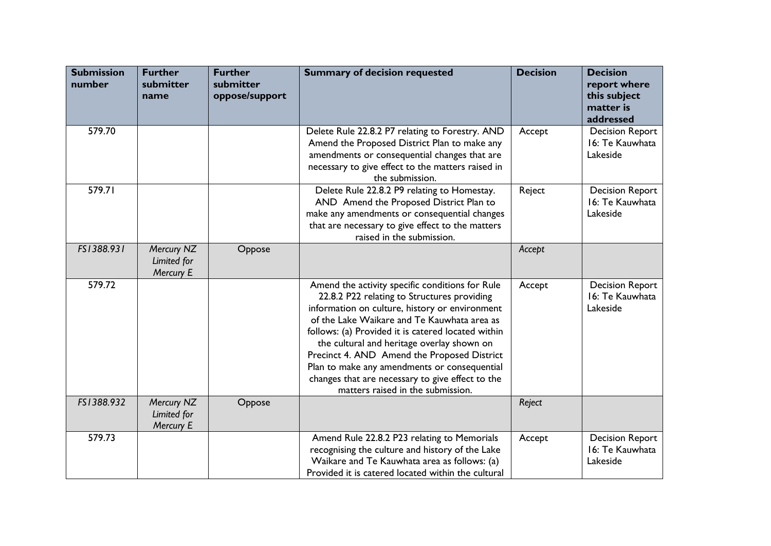| <b>Submission</b><br>number | <b>Further</b><br>submitter<br>name    | <b>Further</b><br>submitter<br>oppose/support | <b>Summary of decision requested</b>                                                                                                                                                                                                                                                                                                                                                                                                                                                        | <b>Decision</b> | <b>Decision</b><br>report where<br>this subject<br>matter is<br>addressed |
|-----------------------------|----------------------------------------|-----------------------------------------------|---------------------------------------------------------------------------------------------------------------------------------------------------------------------------------------------------------------------------------------------------------------------------------------------------------------------------------------------------------------------------------------------------------------------------------------------------------------------------------------------|-----------------|---------------------------------------------------------------------------|
| 579.70                      |                                        |                                               | Delete Rule 22.8.2 P7 relating to Forestry. AND<br>Amend the Proposed District Plan to make any<br>amendments or consequential changes that are<br>necessary to give effect to the matters raised in<br>the submission.                                                                                                                                                                                                                                                                     | Accept          | <b>Decision Report</b><br>16: Te Kauwhata<br>Lakeside                     |
| 579.71                      |                                        |                                               | Delete Rule 22.8.2 P9 relating to Homestay.<br>AND Amend the Proposed District Plan to<br>make any amendments or consequential changes<br>that are necessary to give effect to the matters<br>raised in the submission.                                                                                                                                                                                                                                                                     | Reject          | <b>Decision Report</b><br>16: Te Kauwhata<br>Lakeside                     |
| FS1388.931                  | Mercury NZ<br>Limited for<br>Mercury E | Oppose                                        |                                                                                                                                                                                                                                                                                                                                                                                                                                                                                             | Accept          |                                                                           |
| 579.72                      |                                        |                                               | Amend the activity specific conditions for Rule<br>22.8.2 P22 relating to Structures providing<br>information on culture, history or environment<br>of the Lake Waikare and Te Kauwhata area as<br>follows: (a) Provided it is catered located within<br>the cultural and heritage overlay shown on<br>Precinct 4. AND Amend the Proposed District<br>Plan to make any amendments or consequential<br>changes that are necessary to give effect to the<br>matters raised in the submission. | Accept          | <b>Decision Report</b><br>16: Te Kauwhata<br>Lakeside                     |
| FS1388.932                  | Mercury NZ<br>Limited for<br>Mercury E | Oppose                                        |                                                                                                                                                                                                                                                                                                                                                                                                                                                                                             | Reject          |                                                                           |
| 579.73                      |                                        |                                               | Amend Rule 22.8.2 P23 relating to Memorials<br>recognising the culture and history of the Lake<br>Waikare and Te Kauwhata area as follows: (a)<br>Provided it is catered located within the cultural                                                                                                                                                                                                                                                                                        | Accept          | <b>Decision Report</b><br>16: Te Kauwhata<br>Lakeside                     |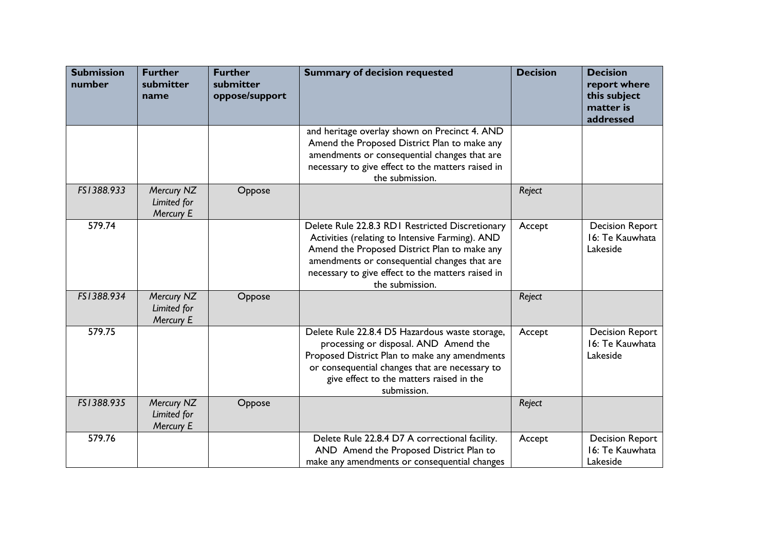| <b>Submission</b><br>number | <b>Further</b><br>submitter<br>name    | <b>Further</b><br>submitter<br>oppose/support | <b>Summary of decision requested</b>                                                                                                                                                                                                                                       | <b>Decision</b> | <b>Decision</b><br>report where<br>this subject<br>matter is<br>addressed |
|-----------------------------|----------------------------------------|-----------------------------------------------|----------------------------------------------------------------------------------------------------------------------------------------------------------------------------------------------------------------------------------------------------------------------------|-----------------|---------------------------------------------------------------------------|
|                             |                                        |                                               | and heritage overlay shown on Precinct 4. AND<br>Amend the Proposed District Plan to make any<br>amendments or consequential changes that are<br>necessary to give effect to the matters raised in<br>the submission.                                                      |                 |                                                                           |
| FS1388.933                  | Mercury NZ<br>Limited for<br>Mercury E | Oppose                                        |                                                                                                                                                                                                                                                                            | Reject          |                                                                           |
| 579.74                      |                                        |                                               | Delete Rule 22.8.3 RDI Restricted Discretionary<br>Activities (relating to Intensive Farming). AND<br>Amend the Proposed District Plan to make any<br>amendments or consequential changes that are<br>necessary to give effect to the matters raised in<br>the submission. | Accept          | <b>Decision Report</b><br>16: Te Kauwhata<br>Lakeside                     |
| FS1388.934                  | Mercury NZ<br>Limited for<br>Mercury E | Oppose                                        |                                                                                                                                                                                                                                                                            | Reject          |                                                                           |
| 579.75                      |                                        |                                               | Delete Rule 22.8.4 D5 Hazardous waste storage,<br>processing or disposal. AND Amend the<br>Proposed District Plan to make any amendments<br>or consequential changes that are necessary to<br>give effect to the matters raised in the<br>submission.                      | Accept          | <b>Decision Report</b><br>16: Te Kauwhata<br>Lakeside                     |
| FS1388.935                  | Mercury NZ<br>Limited for<br>Mercury E | Oppose                                        |                                                                                                                                                                                                                                                                            | Reject          |                                                                           |
| 579.76                      |                                        |                                               | Delete Rule 22.8.4 D7 A correctional facility.<br>AND Amend the Proposed District Plan to<br>make any amendments or consequential changes                                                                                                                                  | Accept          | <b>Decision Report</b><br>16: Te Kauwhata<br>Lakeside                     |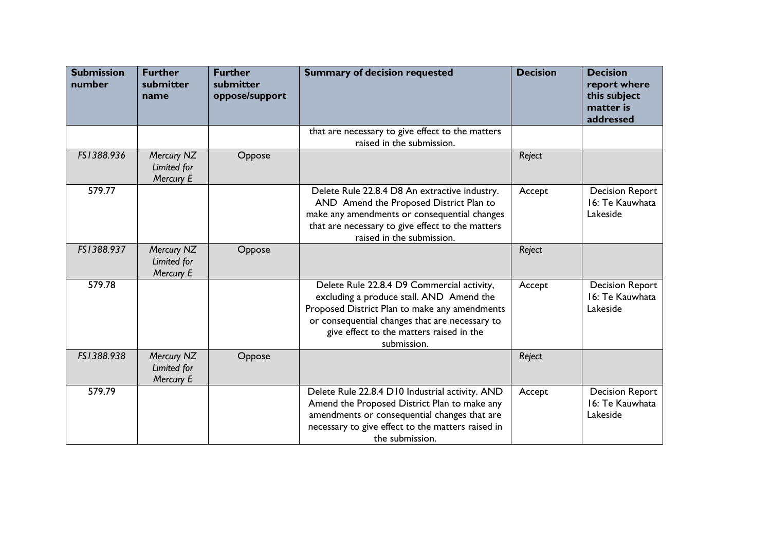| <b>Submission</b><br>number | <b>Further</b><br>submitter<br>name    | <b>Further</b><br>submitter<br>oppose/support | <b>Summary of decision requested</b>                                                                                                                                                                                                                 | <b>Decision</b> | <b>Decision</b><br>report where<br>this subject<br>matter is<br>addressed |
|-----------------------------|----------------------------------------|-----------------------------------------------|------------------------------------------------------------------------------------------------------------------------------------------------------------------------------------------------------------------------------------------------------|-----------------|---------------------------------------------------------------------------|
|                             |                                        |                                               | that are necessary to give effect to the matters<br>raised in the submission.                                                                                                                                                                        |                 |                                                                           |
| FS1388.936                  | Mercury NZ<br>Limited for<br>Mercury E | Oppose                                        |                                                                                                                                                                                                                                                      | Reject          |                                                                           |
| 579.77                      |                                        |                                               | Delete Rule 22.8.4 D8 An extractive industry.<br>AND Amend the Proposed District Plan to<br>make any amendments or consequential changes<br>that are necessary to give effect to the matters<br>raised in the submission.                            | Accept          | <b>Decision Report</b><br>16: Te Kauwhata<br>Lakeside                     |
| FS1388.937                  | Mercury NZ<br>Limited for<br>Mercury E | Oppose                                        |                                                                                                                                                                                                                                                      | Reject          |                                                                           |
| 579.78                      |                                        |                                               | Delete Rule 22.8.4 D9 Commercial activity,<br>excluding a produce stall. AND Amend the<br>Proposed District Plan to make any amendments<br>or consequential changes that are necessary to<br>give effect to the matters raised in the<br>submission. | Accept          | <b>Decision Report</b><br>16: Te Kauwhata<br>Lakeside                     |
| FS1388.938                  | Mercury NZ<br>Limited for<br>Mercury E | Oppose                                        |                                                                                                                                                                                                                                                      | Reject          |                                                                           |
| 579.79                      |                                        |                                               | Delete Rule 22.8.4 D10 Industrial activity. AND<br>Amend the Proposed District Plan to make any<br>amendments or consequential changes that are<br>necessary to give effect to the matters raised in<br>the submission.                              | Accept          | <b>Decision Report</b><br>16: Te Kauwhata<br>Lakeside                     |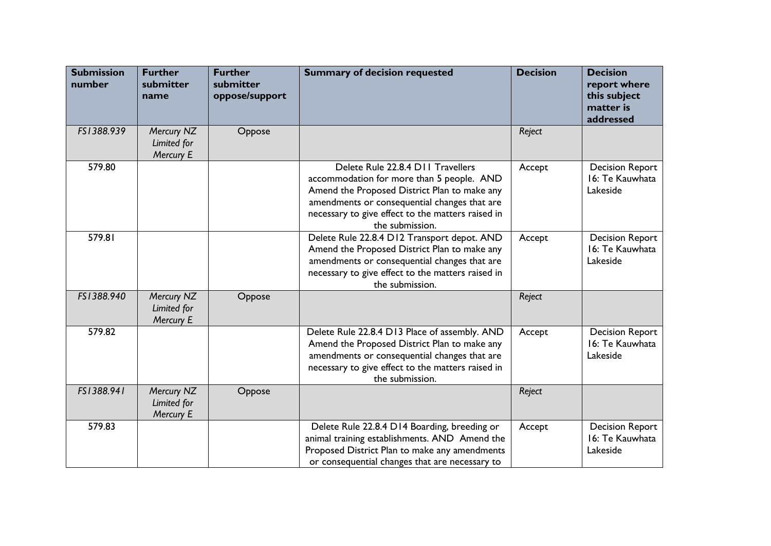| <b>Submission</b><br>number | <b>Further</b><br>submitter<br>name    | <b>Further</b><br>submitter<br>oppose/support | <b>Summary of decision requested</b>                                                                                                                                                                                                                   | <b>Decision</b> | <b>Decision</b><br>report where<br>this subject<br>matter is<br>addressed |
|-----------------------------|----------------------------------------|-----------------------------------------------|--------------------------------------------------------------------------------------------------------------------------------------------------------------------------------------------------------------------------------------------------------|-----------------|---------------------------------------------------------------------------|
| FS1388.939                  | Mercury NZ<br>Limited for<br>Mercury E | Oppose                                        |                                                                                                                                                                                                                                                        | Reject          |                                                                           |
| 579.80                      |                                        |                                               | Delete Rule 22.8.4 D11 Travellers<br>accommodation for more than 5 people. AND<br>Amend the Proposed District Plan to make any<br>amendments or consequential changes that are<br>necessary to give effect to the matters raised in<br>the submission. | Accept          | <b>Decision Report</b><br>16: Te Kauwhata<br>Lakeside                     |
| 579.81                      |                                        |                                               | Delete Rule 22.8.4 D12 Transport depot. AND<br>Amend the Proposed District Plan to make any<br>amendments or consequential changes that are<br>necessary to give effect to the matters raised in<br>the submission.                                    | Accept          | <b>Decision Report</b><br>16: Te Kauwhata<br>Lakeside                     |
| FS1388.940                  | Mercury NZ<br>Limited for<br>Mercury E | Oppose                                        |                                                                                                                                                                                                                                                        | Reject          |                                                                           |
| 579.82                      |                                        |                                               | Delete Rule 22.8.4 D13 Place of assembly. AND<br>Amend the Proposed District Plan to make any<br>amendments or consequential changes that are<br>necessary to give effect to the matters raised in<br>the submission.                                  | Accept          | <b>Decision Report</b><br>16: Te Kauwhata<br>Lakeside                     |
| FS1388.941                  | Mercury NZ<br>Limited for<br>Mercury E | Oppose                                        |                                                                                                                                                                                                                                                        | Reject          |                                                                           |
| 579.83                      |                                        |                                               | Delete Rule 22.8.4 D14 Boarding, breeding or<br>animal training establishments. AND Amend the<br>Proposed District Plan to make any amendments<br>or consequential changes that are necessary to                                                       | Accept          | <b>Decision Report</b><br>16: Te Kauwhata<br>Lakeside                     |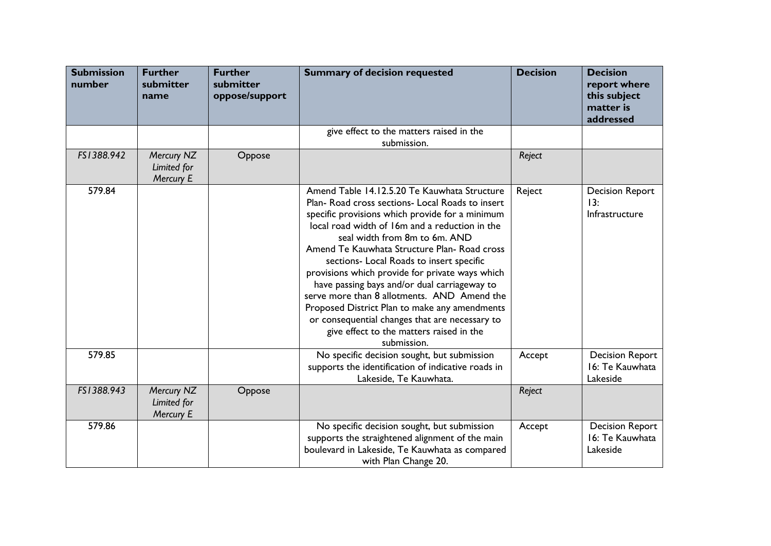| <b>Submission</b><br>number | <b>Further</b><br>submitter<br>name    | <b>Further</b><br>submitter<br>oppose/support | <b>Summary of decision requested</b>                                                                                                                                                                                                                                                                                                                                                                                                                                                                                                                                                                                                             | <b>Decision</b> | <b>Decision</b><br>report where<br>this subject<br>matter is<br>addressed |
|-----------------------------|----------------------------------------|-----------------------------------------------|--------------------------------------------------------------------------------------------------------------------------------------------------------------------------------------------------------------------------------------------------------------------------------------------------------------------------------------------------------------------------------------------------------------------------------------------------------------------------------------------------------------------------------------------------------------------------------------------------------------------------------------------------|-----------------|---------------------------------------------------------------------------|
|                             |                                        |                                               | give effect to the matters raised in the<br>submission.                                                                                                                                                                                                                                                                                                                                                                                                                                                                                                                                                                                          |                 |                                                                           |
| FS1388.942                  | Mercury NZ<br>Limited for<br>Mercury E | Oppose                                        |                                                                                                                                                                                                                                                                                                                                                                                                                                                                                                                                                                                                                                                  | Reject          |                                                                           |
| 579.84                      |                                        |                                               | Amend Table 14.12.5.20 Te Kauwhata Structure<br>Plan-Road cross sections-Local Roads to insert<br>specific provisions which provide for a minimum<br>local road width of 16m and a reduction in the<br>seal width from 8m to 6m. AND<br>Amend Te Kauwhata Structure Plan- Road cross<br>sections- Local Roads to insert specific<br>provisions which provide for private ways which<br>have passing bays and/or dual carriageway to<br>serve more than 8 allotments. AND Amend the<br>Proposed District Plan to make any amendments<br>or consequential changes that are necessary to<br>give effect to the matters raised in the<br>submission. | Reject          | <b>Decision Report</b><br>13:<br>Infrastructure                           |
| 579.85                      |                                        |                                               | No specific decision sought, but submission<br>supports the identification of indicative roads in<br>Lakeside, Te Kauwhata.                                                                                                                                                                                                                                                                                                                                                                                                                                                                                                                      | Accept          | <b>Decision Report</b><br>16: Te Kauwhata<br>Lakeside                     |
| FS1388.943                  | Mercury NZ<br>Limited for<br>Mercury E | Oppose                                        |                                                                                                                                                                                                                                                                                                                                                                                                                                                                                                                                                                                                                                                  | Reject          |                                                                           |
| 579.86                      |                                        |                                               | No specific decision sought, but submission<br>supports the straightened alignment of the main<br>boulevard in Lakeside, Te Kauwhata as compared<br>with Plan Change 20.                                                                                                                                                                                                                                                                                                                                                                                                                                                                         | Accept          | <b>Decision Report</b><br>16: Te Kauwhata<br>Lakeside                     |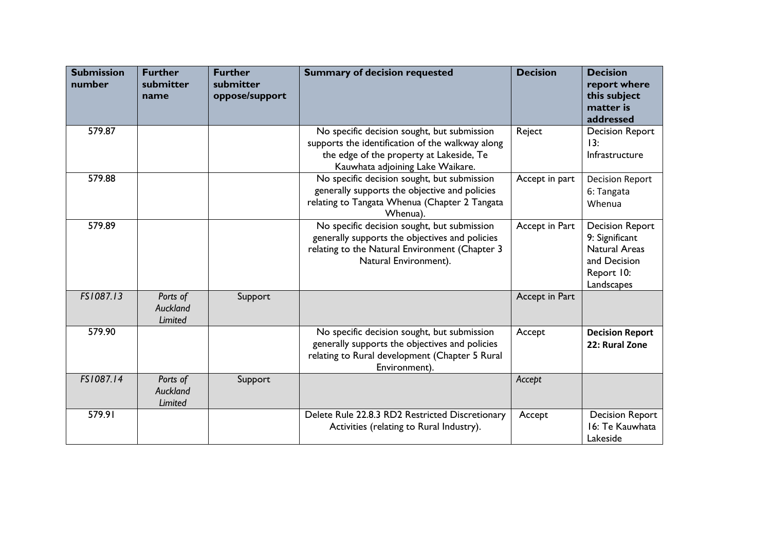| <b>Submission</b><br>number | <b>Further</b><br>submitter<br>name           | <b>Further</b><br>submitter<br>oppose/support | <b>Summary of decision requested</b>                                                                                                                                            | <b>Decision</b> | <b>Decision</b><br>report where<br>this subject<br>matter is<br>addressed                                    |
|-----------------------------|-----------------------------------------------|-----------------------------------------------|---------------------------------------------------------------------------------------------------------------------------------------------------------------------------------|-----------------|--------------------------------------------------------------------------------------------------------------|
| 579.87                      |                                               |                                               | No specific decision sought, but submission<br>supports the identification of the walkway along<br>the edge of the property at Lakeside, Te<br>Kauwhata adjoining Lake Waikare. | Reject          | <b>Decision Report</b><br>13:<br>Infrastructure                                                              |
| 579.88                      |                                               |                                               | No specific decision sought, but submission<br>generally supports the objective and policies<br>relating to Tangata Whenua (Chapter 2 Tangata<br>Whenua).                       | Accept in part  | <b>Decision Report</b><br>6: Tangata<br>Whenua                                                               |
| 579.89                      |                                               |                                               | No specific decision sought, but submission<br>generally supports the objectives and policies<br>relating to the Natural Environment (Chapter 3<br>Natural Environment).        | Accept in Part  | <b>Decision Report</b><br>9: Significant<br><b>Natural Areas</b><br>and Decision<br>Report 10:<br>Landscapes |
| FS1087.13                   | Ports of<br><b>Auckland</b><br>Limited        | Support                                       |                                                                                                                                                                                 | Accept in Part  |                                                                                                              |
| 579.90                      |                                               |                                               | No specific decision sought, but submission<br>generally supports the objectives and policies<br>relating to Rural development (Chapter 5 Rural<br>Environment).                | Accept          | <b>Decision Report</b><br>22: Rural Zone                                                                     |
| FS1087.14                   | Ports of<br><b>Auckland</b><br><b>Limited</b> | Support                                       |                                                                                                                                                                                 | Accept          |                                                                                                              |
| 579.91                      |                                               |                                               | Delete Rule 22.8.3 RD2 Restricted Discretionary<br>Activities (relating to Rural Industry).                                                                                     | Accept          | <b>Decision Report</b><br>16: Te Kauwhata<br>Lakeside                                                        |